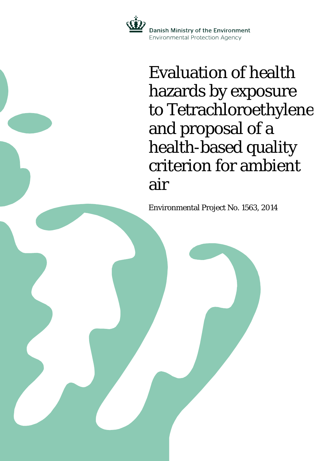

Evaluation of health hazards by exposure to Tetrachloroethylene and proposal of a health-based quality criterion for ambient air

Environmental Project No. 1563, 2014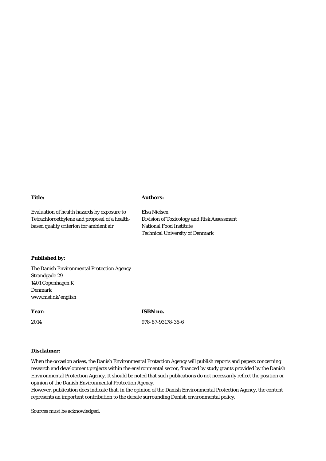#### **Title:**

## **Authors:**

Elsa Nielsen

National Food Institute

Technical University of Denmark

Division of Toxicology and Risk Assessment

Evaluation of health hazards by exposure to Tetrachloroethylene and proposal of a healthbased quality criterion for ambient air

**Published by:**

The Danish Environmental Protection Agency Strandgade 29 1401 Copenhagen K Denmark www.mst.dk/english

**Year:**

2014

**ISBN no.**

978-87-93178-36-6

#### **Disclaimer:**

When the occasion arises, the Danish Environmental Protection Agency will publish reports and papers concerning research and development projects within the environmental sector, financed by study grants provided by the Danish Environmental Protection Agency. It should be noted that such publications do not necessarily reflect the position or opinion of the Danish Environmental Protection Agency.

However, publication does indicate that, in the opinion of the Danish Environmental Protection Agency, the content represents an important contribution to the debate surrounding Danish environmental policy.

Sources must be acknowledged.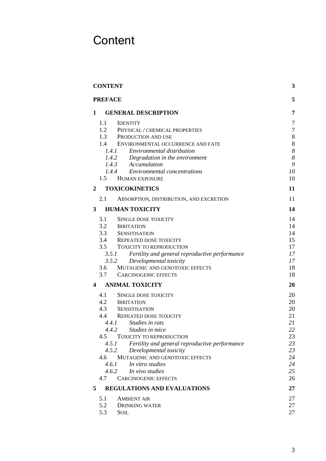# <span id="page-2-0"></span>**Content**

| <b>CONTENT</b>                                                                             |                |
|--------------------------------------------------------------------------------------------|----------------|
| <b>PREFACE</b>                                                                             | 5              |
| <b>GENERAL DESCRIPTION</b><br>1                                                            | 7              |
| 1.1<br><b>IDENTITY</b>                                                                     | 7              |
| 1.2<br>PHYSICAL / CHEMICAL PROPERTIES                                                      | $\overline{7}$ |
| 1.3<br>PRODUCTION AND USE                                                                  | 8              |
| 1.4<br>ENVIRONMENTAL OCCURRENCE AND FATE                                                   | 8              |
| Environmental distribution<br>1.4.1                                                        | 8              |
| 1.4.2 Degradation in the environment                                                       | 8              |
| 1.4.3 Accumulation                                                                         | 9              |
| 1.4.4 Environmental concentrations                                                         | 10             |
| 1.5 HUMAN EXPOSURE                                                                         | 10             |
| $\mathbf{2}$<br><b>TOXICOKINETICS</b>                                                      | 11             |
| 2.1<br>ABSORPTION, DISTRIBUTION, AND EXCRETION                                             | 11             |
| <b>HUMAN TOXICITY</b><br>3                                                                 | 14             |
| 3.1<br>SINGLE DOSE TOXICITY                                                                | 14             |
| 3.2<br><b>IRRITATION</b>                                                                   | 14             |
| 3.3 SENSITISATION                                                                          | 14             |
| 3.4 REPEATED DOSE TOXICITY                                                                 | 15             |
| 3.5 TOXICITY TO REPRODUCTION                                                               | 17             |
| 3.5.1<br>Fertility and general reproductive performance                                    | 17             |
| 3.5.2<br>Developmental toxicity                                                            | 17             |
| 3.6<br>MUTAGENIC AND GENOTOXIC EFFECTS                                                     | 18             |
| 3.7<br><b>CARCINOGENIC EFFECTS</b>                                                         | 18             |
| <b>ANIMAL TOXICITY</b><br>4                                                                | 20             |
| 4.1<br><b>SINGLE DOSE TOXICITY</b>                                                         | 20             |
| 4.2 IRRITATION                                                                             | 20             |
| 4.3 SENSITISATION                                                                          | 20             |
| 4.4<br>REPEATED DOSE TOXICITY                                                              | 21             |
| 4.4.1<br>Studies in rats                                                                   | 21             |
| 4.4.2 Studies in mice                                                                      | 22             |
| 4.5<br><b>TOXICITY TO REPRODUCTION</b>                                                     | 23             |
| Fertility and general reproductive performance<br>4.5.1<br>4.5.2<br>Developmental toxicity | 23<br>23       |
| MUTAGENIC AND GENOTOXIC EFFECTS<br>4.6                                                     | 24             |
| 4.6.1<br>In vitro studies                                                                  | 24             |
| 4.6.2<br>In vivo studies                                                                   | 25             |
| 4.7<br><b>CARCINOGENIC EFFECTS</b>                                                         | 26             |
| 5<br><b>REGULATIONS AND EVALUATIONS</b>                                                    | 27             |
| 5.1<br><b>AMBIENT AIR</b>                                                                  | 27             |
| 5.2<br><b>DRINKING WATER</b>                                                               | 27             |
| 5.3<br><b>SOIL</b>                                                                         | 27             |
|                                                                                            |                |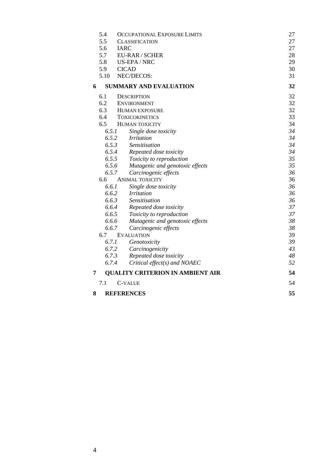|                                 | 5.4                               | <b>OCCUPATIONAL EXPOSURE LIMITS</b><br>27 |    |  |
|---------------------------------|-----------------------------------|-------------------------------------------|----|--|
|                                 | 5.5<br><b>CLASSIFICATION</b>      |                                           |    |  |
|                                 | 5.6                               | <b>IARC</b>                               |    |  |
|                                 | 5.7                               | 28                                        |    |  |
|                                 | 5.8                               | 29                                        |    |  |
|                                 | US-EPA/NRC<br>5.9<br><b>CICAD</b> |                                           |    |  |
|                                 | 5.10                              | 31                                        |    |  |
| 6                               |                                   | <b>SUMMARY AND EVALUATION</b>             | 32 |  |
|                                 | 6.1                               | <b>DESCRIPTION</b>                        | 32 |  |
|                                 | 6.2                               | <b>ENVIRONMENT</b>                        | 32 |  |
|                                 | 6.3                               | <b>HUMAN EXPOSURE</b>                     | 32 |  |
|                                 | 6.4                               | <b>TOXICOKINETICS</b>                     | 33 |  |
|                                 | 6.5                               | HUMAN TOXICITY                            | 34 |  |
|                                 |                                   | 6.5.1<br>Single dose toxicity             | 34 |  |
|                                 |                                   | 6.5.2<br><b>Irritation</b>                | 34 |  |
|                                 | 6.5.3                             | <i>Sensitisation</i>                      | 34 |  |
| 6.5.4<br>Repeated dose toxicity |                                   |                                           | 34 |  |
|                                 | 6.5.5                             | Toxicity to reproduction                  | 35 |  |
|                                 | 6.5.6                             | Mutagenic and genotoxic effects           | 35 |  |
|                                 | 6.5.7                             | Carcinogenic effects                      | 36 |  |
| 6.6<br><b>ANIMAL TOXICITY</b>   |                                   |                                           | 36 |  |
|                                 | 6.6.1                             | Single dose toxicity                      | 36 |  |
|                                 |                                   | 6.6.2<br><i>Irritation</i>                | 36 |  |
|                                 |                                   | 6.6.3<br>Sensitisation                    | 36 |  |
|                                 |                                   | 6.6.4<br>Repeated dose toxicity           | 37 |  |
|                                 |                                   | 6.6.5<br>Toxicity to reproduction         | 37 |  |
|                                 | 6.6.6                             | Mutagenic and genotoxic effects           | 38 |  |
|                                 | 6.6.7                             | Carcinogenic effects                      | 38 |  |
|                                 | 6.7                               | <b>EVALUATION</b>                         | 39 |  |
|                                 | 6.7.1                             | Genotoxicity                              | 39 |  |
|                                 |                                   | 6.7.2<br>Carcinogenicity                  | 43 |  |
|                                 | 6.7.3                             | Repeated dose toxicity                    | 48 |  |
|                                 | 6.7.4                             | Critical effect(s) and NOAEC              | 52 |  |
| 7                               |                                   | <b>QUALITY CRITERION IN AMBIENT AIR</b>   | 54 |  |
|                                 | 7.1                               | C-VALUE                                   | 54 |  |
| 8                               |                                   | <b>REFERENCES</b>                         | 55 |  |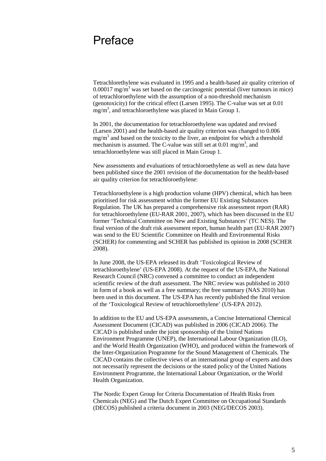## <span id="page-4-0"></span>Preface

Tetrachlorethylene was evaluated in 1995 and a health-based air quality criterion of  $0.00017$  mg/m<sup>3</sup> was set based on the carcinogenic potential (liver tumours in mice) of tetrachloroethylene with the assumption of a non-threshold mechanism (genotoxicity) for the critical effect (Larsen 1995). The C-value was set at 0.01 mg/m<sup>3</sup>, and tetrachloroethylene was placed in Main Group 1.

In 2001, the documentation for tetrachloroethylene was updated and revised (Larsen 2001) and the health-based air quality criterion was changed to 0.006  $mg/m<sup>3</sup>$  and based on the toxicity to the liver, an endpoint for which a threshold mechanism is assumed. The C-value was still set at  $0.01$  mg/m<sup>3</sup>, and tetrachloroethylene was still placed in Main Group 1.

New assessments and evaluations of tetrachloroethylene as well as new data have been published since the 2001 revision of the documentation for the health-based air quality criterion for tetrachloroethylene:

Tetrachloroethylene is a high production volume (HPV) chemical, which has been prioritised for risk assessment within the former EU Existing Substances Regulation. The UK has prepared a comprehensive risk assessment report (RAR) for tetrachloroethylene (EU-RAR 2001, 2007), which has been discussed in the EU former 'Technical Committee on New and Existing Substances' (TC NES). The final version of the draft risk assessment report, human health part (EU-RAR 2007) was send to the EU Scientific Committee on Health and Environmental Risks (SCHER) for commenting and SCHER has published its opinion in 2008 (SCHER 2008).

In June 2008, the US-EPA released its draft 'Toxicological Review of tetrachloroethylene' (US-EPA 2008). At the request of the US-EPA, the National Research Council (NRC) convened a committee to conduct an independent scientific review of the draft assessment. The NRC review was published in 2010 in form of a book as well as a free summary; the free summary (NAS 2010) has been used in this document. The US-EPA has recently published the final version of the 'Toxicological Review of tetrachloroethylene' (US-EPA 2012).

In addition to the EU and US-EPA assessments, a Concise International Chemical Assessment Document (CICAD) was published in 2006 (CICAD 2006). The CICAD is published under the joint sponsorship of the United Nations Environment Programme (UNEP), the International Labour Organization (ILO), and the World Health Organization (WHO), and produced within the framework of the Inter-Organization Programme for the Sound Management of Chemicals. The CICAD contains the collective views of an international group of experts and does not necessarily represent the decisions or the stated policy of the United Nations Environment Programme, the International Labour Organization, or the World Health Organization.

The Nordic Expert Group for Criteria Documentation of Health Risks from Chemicals (NEG) and The Dutch Expert Committee on Occupational Standards (DECOS) published a criteria document in 2003 (NEG/DECOS 2003).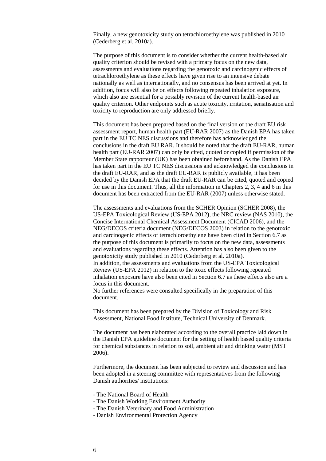Finally, a new genotoxicity study on tetrachloroethylene was published in 2010 (Cederberg et al. 2010a).

The purpose of this document is to consider whether the current health-based air quality criterion should be revised with a primary focus on the new data, assessments and evaluations regarding the genotoxic and carcinogenic effects of tetrachloroethylene as these effects have given rise to an intensive debate nationally as well as internationally, and no consensus has been arrived at yet. In addition, focus will also be on effects following repeated inhalation exposure, which also are essential for a possibly revision of the current health-based air quality criterion. Other endpoints such as acute toxicity, irritation, sensitisation and toxicity to reproduction are only addressed briefly.

This document has been prepared based on the final version of the draft EU risk assessment report, human health part (EU-RAR 2007) as the Danish EPA has taken part in the EU TC NES discussions and therefore has acknowledged the conclusions in the draft EU RAR. It should be noted that the draft EU-RAR, human health part (EU-RAR 2007) can only be cited, quoted or copied if permission of the Member State rapporteur (UK) has been obtained beforehand. As the Danish EPA has taken part in the EU TC NES discussions and acknowledged the conclusions in the draft EU-RAR, and as the draft EU-RAR is publicly available, it has been decided by the Danish EPA that the draft EU-RAR can be cited, quoted and copied for use in this document. Thus, all the information in Chapters 2, 3, 4 and 6 in this document has been extracted from the EU-RAR (2007) unless otherwise stated.

The assessments and evaluations from the SCHER Opinion (SCHER 2008), the US-EPA Toxicological Review (US-EPA 2012), the NRC review (NAS 2010), the Concise International Chemical Assessment Document (CICAD 2006), and the NEG/DECOS criteria document (NEG/DECOS 2003) in relation to the genotoxic and carcinogenic effects of tetrachloroethylene have been cited in Section 6.7 as the purpose of this document is primarily to focus on the new data, assessments and evaluations regarding these effects. Attention has also been given to the genotoxicity study published in 2010 (Cederberg et al. 2010a). In addition, the assessments and evaluations from the US-EPA Toxicological Review (US-EPA 2012) in relation to the toxic effects following repeated inhalation exposure have also been cited in Section 6.7 as these effects also are a focus in this document.

No further references were consulted specifically in the preparation of this document.

This document has been prepared by the Division of Toxicology and Risk Assessment, National Food Institute, Technical University of Denmark.

The document has been elaborated according to the overall practice laid down in the Danish EPA guideline document for the setting of health based quality criteria for chemical substances in relation to soil, ambient air and drinking water (MST 2006).

Furthermore, the document has been subjected to review and discussion and has been adopted in a steering committee with representatives from the following Danish authorities/ institutions:

- The National Board of Health
- The Danish Working Environment Authority
- The Danish Veterinary and Food Administration
- Danish Environmental Protection Agency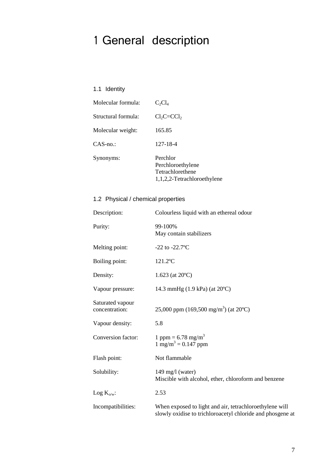# <span id="page-6-0"></span>1 General description

## <span id="page-6-1"></span>1.1 Identity

| Molecular formula:  | $C_2Cl_4$                                                                        |
|---------------------|----------------------------------------------------------------------------------|
| Structural formula: | $Cl_2C=CCl_2$                                                                    |
| Molecular weight:   | 165.85                                                                           |
| $CAS$ -no.:         | 127-18-4                                                                         |
| Synonyms:           | Perchlor<br>Perchloroethylene<br>Tetrachlorethene<br>1,1,2,2-Tetrachloroethylene |

## <span id="page-6-2"></span>1.2 Physical / chemical properties

| Description:                       | Colourless liquid with an ethereal odour                                                                              |
|------------------------------------|-----------------------------------------------------------------------------------------------------------------------|
| Purity:                            | 99-100%<br>May contain stabilizers                                                                                    |
| Melting point:                     | $-22$ to $-22.7$ °C                                                                                                   |
| Boiling point:                     | $121.2$ °C                                                                                                            |
| Density:                           | $1.623$ (at $20^{\circ}$ C)                                                                                           |
| Vapour pressure:                   | 14.3 mmHg $(1.9 \text{ kPa})$ (at $20^{\circ}$ C)                                                                     |
| Saturated vapour<br>concentration: | 25,000 ppm (169,500 mg/m <sup>3</sup> ) (at 20 <sup>o</sup> C)                                                        |
| Vapour density:                    | 5.8                                                                                                                   |
| Conversion factor:                 | 1 ppm = $6.78$ mg/m <sup>3</sup><br>$1 \text{ mg/m}^3 = 0.147 \text{ ppm}$                                            |
| Flash point:                       | Not flammable                                                                                                         |
| Solubility:                        | $149 \text{ mg/l}$ (water)<br>Miscible with alcohol, ether, chloroform and benzene                                    |
| Log $K_{o/w}$ :                    | 2.53                                                                                                                  |
| Incompatibilities:                 | When exposed to light and air, tetrachloroethylene will<br>slowly oxidise to trichloroacetyl chloride and phosgene at |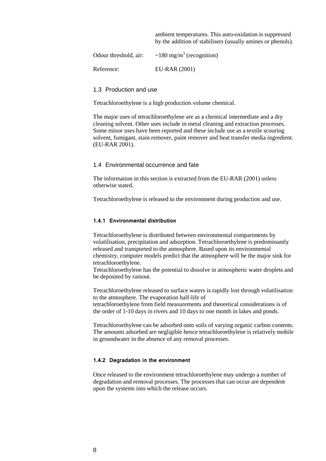ambient temperatures. This auto-oxidation is suppressed by the addition of stabilisers (usually amines or phenols).

| Odour threshold, air: | ~180 mg/m <sup>3</sup> (recognition) |
|-----------------------|--------------------------------------|
| Reference:            | EU-RAR (2001)                        |

#### <span id="page-7-0"></span>1.3 Production and use

Tetrachloroethylene is a high production volume chemical.

The major uses of tetrachloroethylene are as a chemical intermediate and a dry cleaning solvent. Other uses include in metal cleaning and extraction processes. Some minor uses have been reported and these include use as a textile scouring solvent, fumigant, stain remover, paint remover and heat transfer media ingredient. (EU-RAR 2001).

#### <span id="page-7-1"></span>1.4 Environmental occurrence and fate

The information in this section is extracted from the EU-RAR (2001) unless otherwise stated.

Tetrachloroethylene is released to the environment during production and use.

#### <span id="page-7-2"></span>**1.4.1 Environmental distribution**

Tetrachloroethylene is distributed between environmental compartments by volatilisation, precipitation and adsorption. Tetrachloroethylene is predominantly released and transported to the atmosphere. Based upon its environmental chemistry, computer models predict that the atmosphere will be the major sink for tetrachloroethylene.

Tetrachloroethylene has the potential to dissolve in atmospheric water droplets and be deposited by rainout.

Tetrachloroethylene released to surface waters is rapidly lost through volatilisation to the atmosphere. The evaporation half-life of tetrachloroethylene from field measurements and theoretical considerations is of the order of 1-10 days in rivers and 10 days to one month in lakes and ponds.

Tetrachloroethylene can be adsorbed onto soils of varying organic carbon contents. The amounts adsorbed are negligible hence tetrachloroethylene is relatively mobile in groundwater in the absence of any removal processes.

#### <span id="page-7-3"></span>**1.4.2 Degradation in the environment**

Once released to the environment tetrachloroethylene may undergo a number of degradation and removal processes. The processes that can occur are dependent upon the systems into which the release occurs.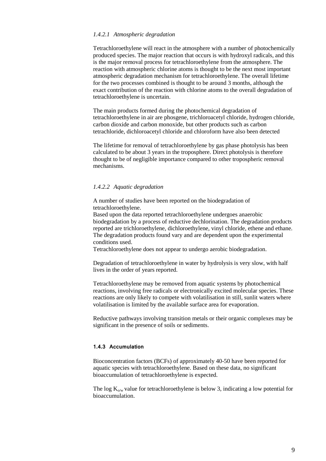#### *1.4.2.1 Atmospheric degradation*

Tetrachloroethylene will react in the atmosphere with a number of photochemically produced species. The major reaction that occurs is with hydroxyl radicals, and this is the major removal process for tetrachloroethylene from the atmosphere. The reaction with atmospheric chlorine atoms is thought to be the next most important atmospheric degradation mechanism for tetrachloroethylene. The overall lifetime for the two processes combined is thought to be around 3 months, although the exact contribution of the reaction with chlorine atoms to the overall degradation of tetrachloroethylene is uncertain.

The main products formed during the photochemical degradation of tetrachloroethylene in air are phosgene, trichloroacetyl chloride, hydrogen chloride, carbon dioxide and carbon monoxide, but other products such as carbon tetrachloride, dichloroacetyl chloride and chloroform have also been detected

The lifetime for removal of tetrachloroethylene by gas phase photolysis has been calculated to be about 3 years in the troposphere. Direct photolysis is therefore thought to be of negligible importance compared to other tropospheric removal mechanisms.

#### *1.4.2.2 Aquatic degradation*

A number of studies have been reported on the biodegradation of tetrachloroethylene.

Based upon the data reported tetrachloroethylene undergoes anaerobic biodegradation by a process of reductive dechlorination. The degradation products reported are trichloroethylene, dichloroethylene, vinyl chloride, ethene and ethane. The degradation products found vary and are dependent upon the experimental conditions used.

Tetrachloroethylene does not appear to undergo aerobic biodegradation.

Degradation of tetrachloroethylene in water by hydrolysis is very slow, with half lives in the order of years reported.

Tetrachloroethylene may be removed from aquatic systems by photochemical reactions, involving free radicals or electronically excited molecular species. These reactions are only likely to compete with volatilisation in still, sunlit waters where volatilisation is limited by the available surface area for evaporation.

Reductive pathways involving transition metals or their organic complexes may be significant in the presence of soils or sediments.

### <span id="page-8-0"></span>**1.4.3 Accumulation**

Bioconcentration factors (BCFs) of approximately 40-50 have been reported for aquatic species with tetrachloroethylene. Based on these data, no significant bioaccumulation of tetrachloroethylene is expected.

The log  $K_{\text{o/w}}$  value for tetrachloroethylene is below 3, indicating a low potential for bioaccumulation.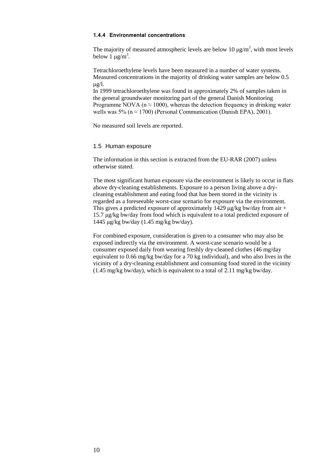#### <span id="page-9-0"></span>**1.4.4 Environmental concentrations**

The majority of measured atmospheric levels are below 10  $\mu$ g/m<sup>3</sup>, with most levels below 1  $\mu$ g/m<sup>3</sup>.

Tetrachloroethylene levels have been measured in a number of water systems. Measured concentrations in the majority of drinking water samples are below 0.5  $\mu$ g/l.

In 1999 tetrachloroethylene was found in approximately 2% of samples taken in the general groundwater monitoring part of the general Danish Monitoring Programme NOVA ( $n \approx 1000$ ), whereas the detection frequency in drinking water wells was 5% ( $n \approx 1700$ ) (Personal Communication (Danish EPA), 2001).

No measured soil levels are reported.

#### <span id="page-9-1"></span>1.5 Human exposure

The information in this section is extracted from the EU-RAR (2007) unless otherwise stated.

The most significant human exposure via the environment is likely to occur in flats above dry-cleaning establishments. Exposure to a person living above a drycleaning establishment and eating food that has been stored in the vicinity is regarded as a foreseeable worst-case scenario for exposure via the environment. This gives a predicted exposure of approximately 1429  $\mu$ g/kg bw/day from air + 15.7 μg/kg bw/day from food which is equivalent to a total predicted exposure of 1445 μg/kg bw/day (1.45 mg/kg bw/day).

For combined exposure, consideration is given to a consumer who may also be exposed indirectly via the environment. A worst-case scenario would be a consumer exposed daily from wearing freshly dry-cleaned clothes (46 mg/day equivalent to 0.66 mg/kg bw/day for a 70 kg individual), and who also lives in the vicinity of a dry-cleaning establishment and consuming food stored in the vicinity (1.45 mg/kg bw/day), which is equivalent to a total of 2.11 mg/kg bw/day.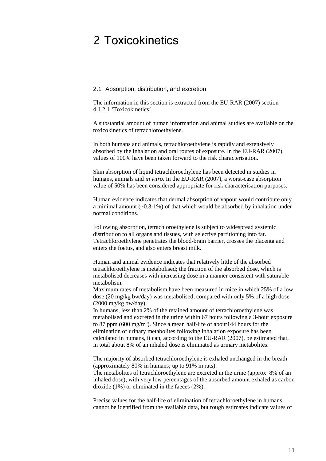## <span id="page-10-0"></span>2 Toxicokinetics

### <span id="page-10-1"></span>2.1 Absorption, distribution, and excretion

The information in this section is extracted from the EU-RAR (2007) section 4.1.2.1 'Toxicokinetics'.

A substantial amount of human information and animal studies are available on the toxicokinetics of tetrachloroethylene.

In both humans and animals, tetrachloroethylene is rapidly and extensively absorbed by the inhalation and oral routes of exposure. In the EU-RAR (2007), values of 100% have been taken forward to the risk characterisation.

Skin absorption of liquid tetrachloroethylene has been detected in studies in humans, animals and *in vitro*. In the EU-RAR (2007), a worst-case absorption value of 50% has been considered appropriate for risk characterisation purposes.

Human evidence indicates that dermal absorption of vapour would contribute only a minimal amount (~0.3-1%) of that which would be absorbed by inhalation under normal conditions.

Following absorption, tetrachloroethylene is subject to widespread systemic distribution to all organs and tissues, with selective partitioning into fat. Tetrachloroethylene penetrates the blood-brain barrier, crosses the placenta and enters the foetus, and also enters breast milk.

Human and animal evidence indicates that relatively little of the absorbed tetrachloroethylene is metabolised; the fraction of the absorbed dose, which is metabolised decreases with increasing dose in a manner consistent with saturable metabolism.

Maximum rates of metabolism have been measured in mice in which 25% of a low dose (20 mg/kg bw/day) was metabolised, compared with only 5% of a high dose (2000 mg/kg bw/day).

In humans, less than 2% of the retained amount of tetrachloroethylene was metabolised and excreted in the urine within 67 hours following a 3-hour exposure to 87 ppm (600 mg/m<sup>3</sup>). Since a mean half-life of about 144 hours for the elimination of urinary metabolites following inhalation exposure has been calculated in humans, it can, according to the EU-RAR (2007), be estimated that, in total about 8% of an inhaled dose is eliminated as urinary metabolites.

The majority of absorbed tetrachloroethylene is exhaled unchanged in the breath (approximately 80% in humans; up to 91% in rats).

The metabolites of tetrachloroethylene are excreted in the urine (approx. 8% of an inhaled dose), with very low percentages of the absorbed amount exhaled as carbon dioxide (1%) or eliminated in the faeces (2%).

Precise values for the half-life of elimination of tetrachloroethylene in humans cannot be identified from the available data, but rough estimates indicate values of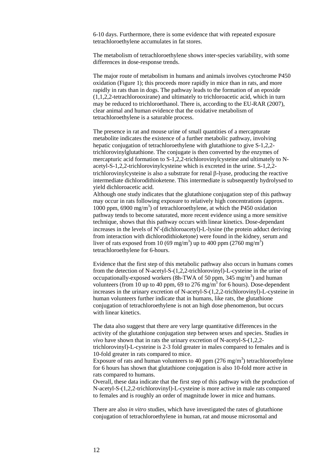6-10 days. Furthermore, there is some evidence that with repeated exposure tetrachloroethylene accumulates in fat stores.

The metabolism of tetrachloroethylene shows inter-species variability, with some differences in dose-response trends.

The major route of metabolism in humans and animals involves cytochrome P450 oxidation (Figure 1); this proceeds more rapidly in mice than in rats, and more rapidly in rats than in dogs. The pathway leads to the formation of an epoxide (1,1,2,2-tetrachlorooxirane) and ultimately to trichloroacetic acid, which in turn may be reduced to trichloroethanol. There is, according to the EU-RAR (2007), clear animal and human evidence that the oxidative metabolism of tetrachloroethylene is a saturable process.

The presence in rat and mouse urine of small quantities of a mercapturate metabolite indicates the existence of a further metabolic pathway, involving hepatic conjugation of tetrachloroethylene with glutathione to give S-1,2,2 trichlorovinylglutathione. The conjugate is then converted by the enzymes of mercapturic acid formation to S-1,2,2-trichlorovinylcysteine and ultimately to Nacetyl-S-1,2,2-trichlorovinylcysteine which is excreted in the urine. S-1,2,2 trichlorovinylcysteine is also a substrate for renal β-lyase, producing the reactive intermediate dichlorodithioketene. This intermediate is subsequently hydrolysed to yield dichloroacetic acid.

Although one study indicates that the glutathione conjugation step of this pathway may occur in rats following exposure to relatively high concentrations (approx. 1000 ppm, 6900 mg/m<sup>3</sup>) of tetrachloroethylene, at which the P450 oxidation pathway tends to become saturated, more recent evidence using a more sensitive technique, shows that this pathway occurs with linear kinetics. Dose-dependant increases in the levels of  $N^{\epsilon}$ -(dichloroacetyl)-L-lysine (the protein adduct deriving from interaction with dichlorodithioketone) were found in the kidney, serum and liver of rats exposed from 10 (69 mg/m<sup>3</sup>) up to 400 ppm (2760 mg/m<sup>3</sup>) tetrachloroethylene for 6-hours.

Evidence that the first step of this metabolic pathway also occurs in humans comes from the detection of N-acetyl-S-(1,2,2-trichlorovinyl)-L-cysteine in the urine of occupationally-exposed workers (8h-TWA of 50 ppm,  $345 \text{ mg/m}^3$ ) and human volunteers (from 10 up to 40 ppm, 69 to 276 mg/m<sup>3</sup> for 6 hours). Dose-dependent increases in the urinary excretion of N-acetyl-S-(1,2,2-trichlorovinyl)-L-cysteine in human volunteers further indicate that in humans, like rats, the glutathione conjugation of tetrachloroethylene is not an high dose phenomenon, but occurs with linear kinetics.

The data also suggest that there are very large quantitative differences in the activity of the glutathione conjugation step between sexes and species. Studies *in vivo* have shown that in rats the urinary excretion of N-acetyl-S-(1,2,2 trichlorovinyl)-L-cysteine is 2-3 fold greater in males compared to females and is 10-fold greater in rats compared to mice.

Exposure of rats and human volunteers to 40 ppm  $(276 \text{ mg/m}^3)$  tetrachloroethylene for 6 hours has shown that glutathione conjugation is also 10-fold more active in rats compared to humans.

Overall, these data indicate that the first step of this pathway with the production of N-acetyl-S-(1,2,2-trichlorovinyl)-L-cysteine is more active in male rats compared to females and is roughly an order of magnitude lower in mice and humans.

There are also *in vitro* studies, which have investigated the rates of glutathione conjugation of tetrachloroethylene in human, rat and mouse microsomal and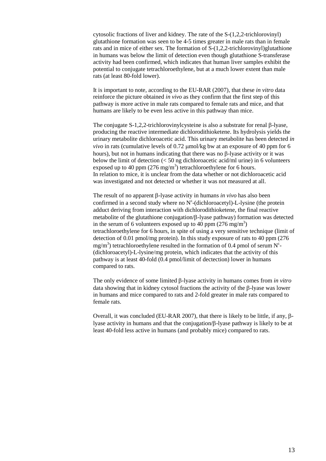cytosolic fractions of liver and kidney. The rate of the S-(1,2,2-trichlorovinyl) glutathione formation was seen to be 4-5 times greater in male rats than in female rats and in mice of either sex. The formation of S-(1,2,2-trichlorovinyl)glutathione in humans was below the limit of detection even though glutathione S-transferase activity had been confirmed, which indicates that human liver samples exhibit the potential to conjugate tetrachloroethylene, but at a much lower extent than male rats (at least 80-fold lower).

It is important to note, according to the EU-RAR (2007), that these *in vitro* data reinforce the picture obtained *in vivo* as they confirm that the first step of this pathway is more active in male rats compared to female rats and mice, and that humans are likely to be even less active in this pathway than mice.

The conjugate S-1,2,2-trichlorovinylcysteine is also a substrate for renal β-lyase, producing the reactive intermediate dichlorodithioketene. Its hydrolysis yields the urinary metabolite dichloroacetic acid. This urinary metabolite has been detected *in vivo* in rats (cumulative levels of 0.72 µmol/kg bw at an exposure of 40 ppm for 6 hours), but not in humans indicating that there was no β-lyase activity or it was below the limit of detection  $\left($  < 50 ng dichloroacetic acid/ml urine) in 6 volunteers exposed up to 40 ppm  $(276 \text{ mg/m}^3)$  tetrachloroethylene for 6 hours. In relation to mice, it is unclear from the data whether or not dichloroacetic acid was investigated and not detected or whether it was not measured at all.

The result of no apparent β-lyase activity in humans *in vivo* has also been confirmed in a second study where no  $N^{\epsilon}$ -(dichloroacetyl)-L-lysine (the protein adduct deriving from interaction with dichlorodithioketene, the final reactive metabolite of the glutathione conjugation/β-lyase pathway) formation was detected in the serum of 6 volunteers exposed up to 40 ppm  $(276 \text{ mg/m}^3)$ tetrachloroethylene for 6 hours, in spite of using a very sensitive technique (limit of detection of 0.01 pmol/mg protein). In this study exposure of rats to 40 ppm (276 mg/m<sup>3</sup>) tetrachloroethylene resulted in the formation of 0.4 pmol of serum  $N^{\epsilon}$ -(dichloroacetyl)-L-lysine/mg protein, which indicates that the activity of this pathway is at least 40-fold (0.4 pmol/limit of dectection) lower in humans compared to rats.

The only evidence of some limited β-lyase activity in humans comes from *in vitro* data showing that in kidney cytosol fractions the activity of the β-lyase was lower in humans and mice compared to rats and 2-fold greater in male rats compared to female rats.

Overall, it was concluded (EU-RAR 2007), that there is likely to be little, if any, βlyase activity in humans and that the conjugation/β-lyase pathway is likely to be at least 40-fold less active in humans (and probably mice) compared to rats.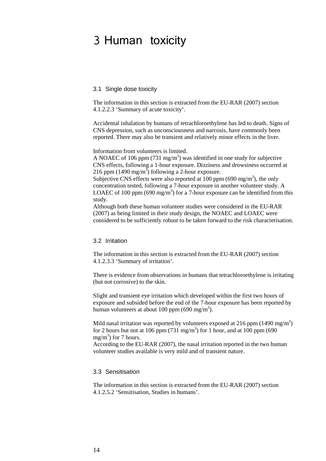## <span id="page-13-0"></span>3 Human toxicity

#### <span id="page-13-1"></span>3.1 Single dose toxicity

The information in this section is extracted from the EU-RAR (2007) section 4.1.2.2.3 'Summary of acute toxicity'.

Accidental inhalation by humans of tetrachloroethylene has led to death. Signs of CNS depression, such as unconsciousness and narcosis, have commonly been reported. There may also be transient and relatively minor effects in the liver.

Information from volunteers is limited.

A NOAEC of 106 ppm (731 mg/m<sup>3</sup>) was identified in one study for subjective CNS effects, following a 1-hour exposure. Dizziness and drowsiness occurred at 216 ppm  $(1490 \text{ mg/m}^3)$  following a 2-hour exposure.

Subjective CNS effects were also reported at 100 ppm (690 mg/m<sup>3</sup>), the only concentration tested, following a 7-hour exposure in another volunteer study. A LOAEC of 100 ppm (690 mg/m<sup>3</sup>) for a 7-hour exposure can be identified from this study.

Although both these human volunteer studies were considered in the EU-RAR (2007) as being limited in their study design, the NOAEC and LOAEC were considered to be sufficiently robust to be taken forward to the risk characterisation.

#### <span id="page-13-2"></span>3.2 Irritation

The information in this section is extracted from the EU-RAR (2007) section 4.1.2.3.3 'Summary of irritation'.

There is evidence from observations in humans that tetrachloroethylene is irritating (but not corrosive) to the skin.

Slight and transient eye irritation which developed within the first two hours of exposure and subsided before the end of the 7-hour exposure has been reported by human volunteers at about 100 ppm (690 mg/m<sup>3</sup>).

Mild nasal irritation was reported by volunteers exposed at 216 ppm (1490 mg/m<sup>3</sup>) for 2 hours but not at 106 ppm (731 mg/m<sup>3</sup>) for 1 hour, and at 100 ppm (690 mg/m<sup>3</sup>) for 7 hours.

According to the EU-RAR (2007), the nasal irritation reported in the two human volunteer studies available is very mild and of transient nature.

#### <span id="page-13-3"></span>3.3 Sensitisation

The information in this section is extracted from the EU-RAR (2007) section 4.1.2.5.2 'Sensitisation, Studies in humans'.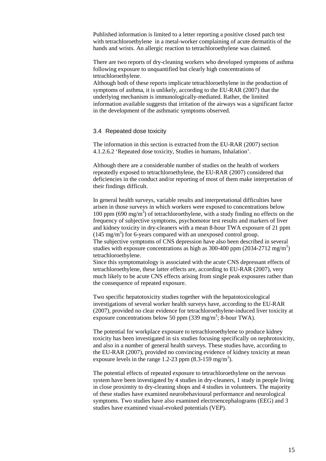Published information is limited to a letter reporting a positive closed patch test with tetrachloroethylene in a metal-worker complaining of acute dermatitis of the hands and wrists. An allergic reaction to tetrachloroethylene was claimed.

There are two reports of dry-cleaning workers who developed symptoms of asthma following exposure to unquantified but clearly high concentrations of tetrachloroethylene.

Although both of these reports implicate tetrachloroethylene in the production of symptoms of asthma, it is unlikely, according to the EU-RAR (2007) that the underlying mechanism is immunologically-mediated. Rather, the limited information available suggests that irritation of the airways was a significant factor in the development of the asthmatic symptoms observed.

## <span id="page-14-0"></span>3.4 Repeated dose toxicity

The information in this section is extracted from the EU-RAR (2007) section 4.1.2.6.2 'Repeated dose toxicity, Studies in humans, Inhalation'.

Although there are a considerable number of studies on the health of workers repeatedly exposed to tetrachloroethylene, the EU-RAR (2007) considered that deficiencies in the conduct and/or reporting of most of them make interpretation of their findings difficult.

In general health surveys, variable results and interpretational difficulties have arisen in those surveys in which workers were exposed to concentrations below 100 ppm  $(690 \text{ mg/m}^3)$  of tetrachloroethylene, with a study finding no effects on the frequency of subjective symptoms, psychomotor test results and markers of liver and kidney toxicity in dry-cleaners with a mean 8-hour TWA exposure of 21 ppm  $(145 \text{ mg/m}^3)$  for 6-years compared with an unexposed control group. The subjective symptoms of CNS depression have also been described in several studies with exposure concentrations as high as 300-400 ppm (2034-2712 mg/m<sup>3</sup>) tetrachloroethylene.

Since this symptomatology is associated with the acute CNS depressant effects of tetrachloroethylene, these latter effects are, according to EU-RAR (2007), very much likely to be acute CNS effects arising from single peak exposures rather than the consequence of repeated exposure.

Two specific hepatotoxicity studies together with the hepatotoxicological investigations of several worker health surveys have, according to the EU-RAR (2007), provided no clear evidence for tetrachloroethylene-induced liver toxicity at exposure concentrations below 50 ppm (339 mg/m<sup>3</sup>; 8-hour TWA).

The potential for workplace exposure to tetrachloroethylene to produce kidney toxicity has been investigated in six studies focusing specifically on nephrotoxicity, and also in a number of general health surveys. These studies have, according to the EU-RAR (2007), provided no convincing evidence of kidney toxicity at mean exposure levels in the range 1.2-23 ppm  $(8.3\n-159 \text{ mg/m}^3)$ .

The potential effects of repeated exposure to tetrachloroethylene on the nervous system have been investigated by 4 studies in dry-cleaners, 1 study in people living in close proximity to dry-cleaning shops and 4 studies in volunteers. The majority of these studies have examined neurobehavioural performance and neurological symptoms. Two studies have also examined electroencephalograms (EEG) and 3 studies have examined visual-evoked potentials (VEP).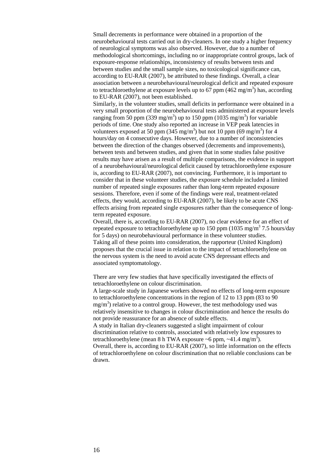Small decrements in performance were obtained in a proportion of the neurobehavioural tests carried out in dry-cleaners. In one study a higher frequency of neurological symptoms was also observed. However, due to a number of methodological shortcomings, including no or inappropriate control groups, lack of exposure-response relationships, inconsistency of results between tests and between studies and the small sample sizes, no toxicological significance can, according to EU-RAR (2007), be attributed to these findings. Overall, a clear association between a neurobehavioural/neurological deficit and repeated exposure to tetrachloroethylene at exposure levels up to 67 ppm  $(462 \text{ mg/m}^3)$  has, according to EU-RAR (2007), not been established.

Similarly, in the volunteer studies, small deficits in performance were obtained in a very small proportion of the neurobehavioural tests administered at exposure levels ranging from 50 ppm (339 mg/m<sup>3</sup>) up to 150 ppm (1035 mg/m<sup>3</sup>) for variable periods of time. One study also reported an increase in VEP peak latencies in volunteers exposed at 50 ppm (345 mg/m<sup>3</sup>) but not 10 ppm (69 mg/m<sup>3</sup>) for 4 hours/day on 4 consecutive days. However, due to a number of inconsistencies between the direction of the changes observed (decrements and improvements), between tests and between studies, and given that in some studies false positive results may have arisen as a result of multiple comparisons, the evidence in support of a neurobehavioural/neurological deficit caused by tetrachloroethylene exposure is, according to EU-RAR (2007), not convincing. Furthermore, it is important to consider that in these volunteer studies, the exposure schedule included a limited number of repeated single exposures rather than long-term repeated exposure sessions. Therefore, even if some of the findings were real, treatment-related effects, they would, according to EU-RAR (2007), be likely to be acute CNS effects arising from repeated single exposures rather than the consequence of longterm repeated exposure.

Overall, there is, according to EU-RAR (2007), no clear evidence for an effect of repeated exposure to tetrachloroethylene up to 150 ppm (1035 mg/m<sup>3</sup> 7.5 hours/day for 5 days) on neurobehavioural performance in these volunteer studies. Taking all of these points into consideration, the rapporteur (United Kingdom) proposes that the crucial issue in relation to the impact of tetrachloroethylene on the nervous system is the need to avoid acute CNS depressant effects and associated symptomatology.

There are very few studies that have specifically investigated the effects of tetrachloroethylene on colour discrimination.

A large-scale study in Japanese workers showed no effects of long-term exposure to tetrachloroethylene concentrations in the region of 12 to 13 ppm (83 to 90  $mg/m<sup>3</sup>$ ) relative to a control group. However, the test methodology used was relatively insensitive to changes in colour discrimination and hence the results do not provide reassurance for an absence of subtle effects.

A study in Italian dry-cleaners suggested a slight impairment of colour discrimination relative to controls, associated with relatively low exposures to tetrachloroethylene (mean 8 h TWA exposure ~6 ppm, ~41.4 mg/m<sup>3</sup>).

<span id="page-15-0"></span>Overall, there is, according to EU-RAR (2007), so little information on the effects of tetrachloroethylene on colour discrimination that no reliable conclusions can be drawn.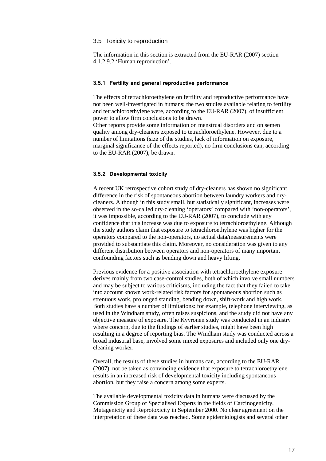#### 3.5 Toxicity to reproduction

The information in this section is extracted from the EU-RAR (2007) section 4.1.2.9.2 'Human reproduction'.

#### <span id="page-16-0"></span>**3.5.1 Fertility and general reproductive performance**

The effects of tetrachloroethylene on fertility and reproductive performance have not been well-investigated in humans; the two studies available relating to fertility and tetrachloroethylene were, according to the EU-RAR (2007), of insufficient power to allow firm conclusions to be drawn.

Other reports provide some information on menstrual disorders and on semen quality among dry-cleaners exposed to tetrachloroethylene. However, due to a number of limitations (size of the studies, lack of information on exposure, marginal significance of the effects reported), no firm conclusions can, according to the EU-RAR (2007), be drawn.

#### <span id="page-16-1"></span>**3.5.2 Developmental toxicity**

A recent UK retrospective cohort study of dry-cleaners has shown no significant difference in the risk of spontaneous abortion between laundry workers and drycleaners. Although in this study small, but statistically significant, increases were observed in the so-called dry-cleaning 'operators' compared with 'non-operators', it was impossible, according to the EU-RAR (2007), to conclude with any confidence that this increase was due to exposure to tetrachloroethylene. Although the study authors claim that exposure to tetrachloroethylene was higher for the operators compared to the non-operators, no actual data/measurements were provided to substantiate this claim. Moreover, no consideration was given to any different distribution between operators and non-operators of many important confounding factors such as bending down and heavy lifting.

Previous evidence for a positive association with tetrachloroethylene exposure derives mainly from two case-control studies, both of which involve small numbers and may be subject to various criticisms, including the fact that they failed to take into account known work-related risk factors for spontaneous abortion such as strenuous work, prolonged standing, bending down, shift-work and high work. Both studies have a number of limitations: for example, telephone interviewing, as used in the Windham study, often raises suspicions, and the study did not have any objective measure of exposure. The Kyyronen study was conducted in an industry where concern, due to the findings of earlier studies, might have been high resulting in a degree of reporting bias. The Windham study was conducted across a broad industrial base, involved some mixed exposures and included only one drycleaning worker.

Overall, the results of these studies in humans can, according to the EU-RAR (2007), not be taken as convincing evidence that exposure to tetrachloroethylene results in an increased risk of developmental toxicity including spontaneous abortion, but they raise a concern among some experts.

The available developmental toxicity data in humans were discussed by the Commission Group of Specialised Experts in the fields of Carcinogenicity, Mutagenicity and Reprotoxicity in September 2000. No clear agreement on the interpretation of these data was reached. Some epidemiologists and several other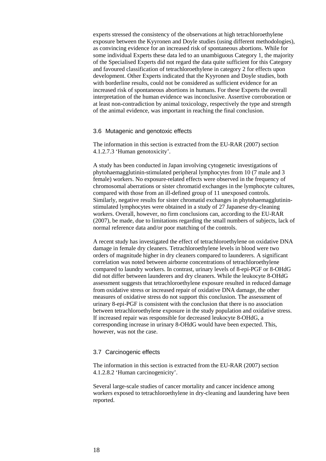experts stressed the consistency of the observations at high tetrachloroethylene exposure between the Kyyronen and Doyle studies (using different methodologies), as convincing evidence for an increased risk of spontaneous abortions. While for some individual Experts these data led to an unambiguous Category 1, the majority of the Specialised Experts did not regard the data quite sufficient for this Category and favoured classification of tetrachloroethylene in category 2 for effects upon development. Other Experts indicated that the Kyyronen and Doyle studies, both with borderline results, could not be considered as sufficient evidence for an increased risk of spontaneous abortions in humans. For these Experts the overall interpretation of the human evidence was inconclusive. Assertive corroboration or at least non-contradiction by animal toxicology, respectively the type and strength of the animal evidence, was important in reaching the final conclusion.

#### <span id="page-17-0"></span>3.6 Mutagenic and genotoxic effects

The information in this section is extracted from the EU-RAR (2007) section 4.1.2.7.3 'Human genotoxicity'.

A study has been conducted in Japan involving cytogenetic investigations of phytohaemagglutinin-stimulated peripheral lymphocytes from 10 (7 male and 3 female) workers. No exposure-related effects were observed in the frequency of chromosomal aberrations or sister chromatid exchanges in the lymphocyte cultures, compared with those from an ill-defined group of 11 unexposed controls. Similarly, negative results for sister chromatid exchanges in phytohaemagglutininstimulated lymphocytes were obtained in a study of 27 Japanese dry-cleaning workers. Overall, however, no firm conclusions can, according to the EU-RAR (2007), be made, due to limitations regarding the small numbers of subjects, lack of normal reference data and/or poor matching of the controls.

A recent study has investigated the effect of tetrachloroethylene on oxidative DNA damage in female dry cleaners. Tetrachloroethylene levels in blood were two orders of magnitude higher in dry cleaners compared to launderers. A significant correlation was noted between airborne concentrations of tetrachloroethylene compared to laundry workers. In contrast, urinary levels of 8-epi-PGF or 8-OHdG did not differ between launderers and dry cleaners. While the leukocyte 8-OHdG assessment suggests that tetrachloroethylene exposure resulted in reduced damage from oxidative stress or increased repair of oxidative DNA damage, the other measures of oxidative stress do not support this conclusion. The assessment of urinary 8-epi-PGF is consistent with the conclusion that there is no association between tetrachloroethylene exposure in the study population and oxidative stress. If increased repair was responsible for decreased leukocyte 8-OHdG, a corresponding increase in urinary 8-OHdG would have been expected. This, however, was not the case.

#### <span id="page-17-1"></span>3.7 Carcinogenic effects

The information in this section is extracted from the EU-RAR (2007) section 4.1.2.8.2 'Human carcinogenicity'.

Several large-scale studies of cancer mortality and cancer incidence among workers exposed to tetrachloroethylene in dry-cleaning and laundering have been reported.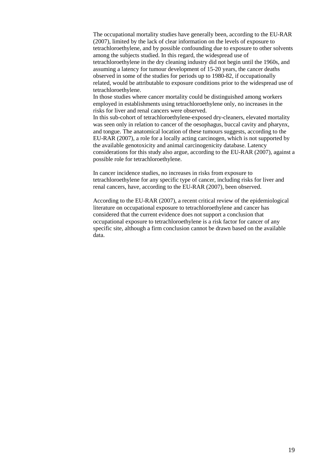The occupational mortality studies have generally been, according to the EU-RAR (2007), limited by the lack of clear information on the levels of exposure to tetrachloroethylene, and by possible confounding due to exposure to other solvents among the subjects studied. In this regard, the widespread use of tetrachloroethylene in the dry cleaning industry did not begin until the 1960s, and assuming a latency for tumour development of 15-20 years, the cancer deaths observed in some of the studies for periods up to 1980-82, if occupationally related, would be attributable to exposure conditions prior to the widespread use of tetrachloroethylene.

In those studies where cancer mortality could be distinguished among workers employed in establishments using tetrachloroethylene only, no increases in the risks for liver and renal cancers were observed.

In this sub-cohort of tetrachloroethylene-exposed dry-cleaners, elevated mortality was seen only in relation to cancer of the oesophagus, buccal cavity and pharynx, and tongue. The anatomical location of these tumours suggests, according to the EU-RAR (2007), a role for a locally acting carcinogen, which is not supported by the available genotoxicity and animal carcinogenicity database. Latency considerations for this study also argue, according to the EU-RAR (2007), against a possible role for tetrachloroethylene.

In cancer incidence studies, no increases in risks from exposure to tetrachloroethylene for any specific type of cancer, including risks for liver and renal cancers, have, according to the EU-RAR (2007), been observed.

According to the EU-RAR (2007), a recent critical review of the epidemiological literature on occupational exposure to tetrachloroethylene and cancer has considered that the current evidence does not support a conclusion that occupational exposure to tetrachloroethylene is a risk factor for cancer of any specific site, although a firm conclusion cannot be drawn based on the available data.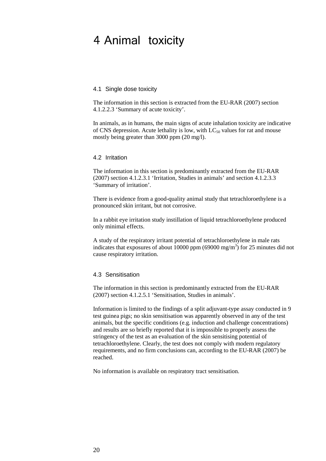## <span id="page-19-0"></span>4 Animal toxicity

### <span id="page-19-1"></span>4.1 Single dose toxicity

The information in this section is extracted from the EU-RAR (2007) section 4.1.2.2.3 'Summary of acute toxicity'.

In animals, as in humans, the main signs of acute inhalation toxicity are indicative of CNS depression. Acute lethality is low, with  $LC_{50}$  values for rat and mouse mostly being greater than 3000 ppm (20 mg/l).

#### <span id="page-19-2"></span>4.2 Irritation

The information in this section is predominantly extracted from the EU-RAR (2007) section 4.1.2.3.1 'Irritation, Studies in animals' and section 4.1.2.3.3 'Summary of irritation'.

There is evidence from a good-quality animal study that tetrachloroethylene is a pronounced skin irritant, but not corrosive.

In a rabbit eye irritation study instillation of liquid tetrachloroethylene produced only minimal effects.

A study of the respiratory irritant potential of tetrachloroethylene in male rats indicates that exposures of about 10000 ppm (69000 mg/m<sup>3</sup>) for 25 minutes did not cause respiratory irritation.

#### <span id="page-19-3"></span>4.3 Sensitisation

The information in this section is predominantly extracted from the EU-RAR (2007) section 4.1.2.5.1 'Sensitisation, Studies in animals'.

Information is limited to the findings of a split adjuvant-type assay conducted in 9 test guinea pigs; no skin sensitisation was apparently observed in any of the test animals, but the specific conditions (e.g. induction and challenge concentrations) and results are so briefly reported that it is impossible to properly assess the stringency of the test as an evaluation of the skin sensitising potential of tetrachloroethylene. Clearly, the test does not comply with modern regulatory requirements, and no firm conclusions can, according to the EU-RAR (2007) be reached.

No information is available on respiratory tract sensitisation.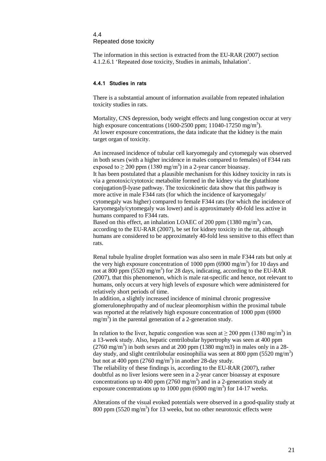#### <span id="page-20-0"></span>4.4

Repeated dose toxicity

The information in this section is extracted from the EU-RAR (2007) section 4.1.2.6.1 'Repeated dose toxicity, Studies in animals, Inhalation'.

#### <span id="page-20-1"></span>**4.4.1 Studies in rats**

There is a substantial amount of information available from repeated inhalation toxicity studies in rats.

Mortality, CNS depression, body weight effects and lung congestion occur at very high exposure concentrations (1600-2500 ppm; 11040-17250 mg/m<sup>3</sup>). At lower exposure concentrations, the data indicate that the kidney is the main target organ of toxicity.

An increased incidence of tubular cell karyomegaly and cytomegaly was observed in both sexes (with a higher incidence in males compared to females) of F344 rats exposed to  $\geq$  200 ppm (1380 mg/m<sup>3</sup>) in a 2-year cancer bioassay. It has been postulated that a plausible mechanism for this kidney toxicity in rats is via a genotoxic/cytotoxic metabolite formed in the kidney via the glutathione conjugation/β-lyase pathway. The toxicokinetic data show that this pathway is more active in male F344 rats (for which the incidence of karyomegaly/ cytomegaly was higher) compared to female F344 rats (for which the incidence of karyomegaly/cytomegaly was lower) and is approximately 40-fold less active in humans compared to F344 rats.

Based on this effect, an inhalation LOAEC of 200 ppm  $(1380 \text{ mg/m}^3)$  can, according to the EU-RAR (2007), be set for kidney toxicity in the rat, although humans are considered to be approximately 40-fold less sensitive to this effect than rats.

Renal tubule hyaline droplet formation was also seen in male F344 rats but only at the very high exposure concentration of 1000 ppm (6900 mg/m<sup>3</sup>) for 10 days and not at 800 ppm (5520 mg/m<sup>3</sup>) for 28 days, indicating, according to the EU-RAR (2007), that this phenomenon, which is male rat-specific and hence, not relevant to humans, only occurs at very high levels of exposure which were administered for relatively short periods of time.

In addition, a slightly increased incidence of minimal chronic progressive glomerulonephropathy and of nuclear pleomorphism within the proximal tubule was reported at the relatively high exposure concentration of 1000 ppm (6900  $mg/m<sup>3</sup>$ ) in the parental generation of a 2-generation study.

In relation to the liver, hepatic congestion was seen at  $\geq 200$  ppm (1380 mg/m<sup>3</sup>) in a 13-week study. Also, hepatic centrilobular hypertrophy was seen at 400 ppm  $(2760 \text{ mg/m}^3)$  in both sexes and at 200 ppm  $(1380 \text{ mg/m}^3)$  in males only in a 28day study, and slight centrilobular eosinophilia was seen at 800 ppm (5520 mg/m<sup>3</sup>) but not at 400 ppm  $(2760 \text{ mg/m}^3)$  in another 28-day study.

The reliability of these findings is, according to the EU-RAR (2007), rather doubtful as no liver lesions were seen in a 2-year cancer bioassay at exposure concentrations up to 400 ppm  $(2760 \text{ mg/m}^3)$  and in a 2-generation study at exposure concentrations up to 1000 ppm (6900 mg/m<sup>3</sup>) for 14-17 weeks.

Alterations of the visual evoked potentials were observed in a good-quality study at 800 ppm (5520 mg/m<sup>3</sup>) for 13 weeks, but no other neurotoxic effects were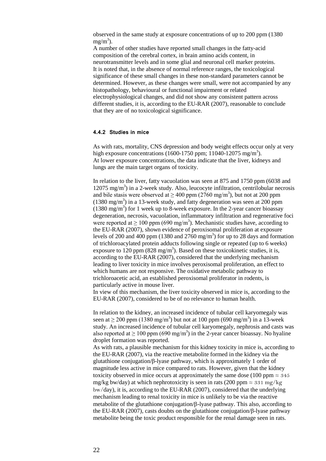observed in the same study at exposure concentrations of up to 200 ppm (1380  $mg/m<sup>3</sup>$ ).

A number of other studies have reported small changes in the fatty-acid composition of the cerebral cortex, in brain amino acids content, in neurotransmitter levels and in some glial and neuronal cell marker proteins. It is noted that, in the absence of normal reference ranges, the toxicological significance of these small changes in these non-standard parameters cannot be determined. However, as these changes were small, were not accompanied by any histopathology, behavioural or functional impairment or related electrophysiological changes, and did not show any consistent pattern across different studies, it is, according to the EU-RAR (2007), reasonable to conclude that they are of no toxicological significance.

#### <span id="page-21-0"></span>**4.4.2 Studies in mice**

As with rats, mortality, CNS depression and body weight effects occur only at very high exposure concentrations (1600-1750 ppm; 11040-12075 mg/m<sup>3</sup>). At lower exposure concentrations, the data indicate that the liver, kidneys and lungs are the main target organs of toxicity.

In relation to the liver, fatty vacuolation was seen at 875 and 1750 ppm (6038 and  $12075$  mg/m<sup>3</sup>) in a 2-week study. Also, leucocyte infiltration, centrilobular necrosis and bile stasis were observed at  $\geq 400$  ppm (2760 mg/m<sup>3</sup>), but not at 200 ppm  $(1380 \text{ mg/m}^3)$  in a 13-week study, and fatty degeneration was seen at 200 ppm  $(1380 \text{ mg/m}^3)$  for 1 week up to 8-week exposure. In the 2-year cancer bioassay degeneration, necrosis, vacuolation, inflammatory infiltration and regenerative foci were reported at  $\geq 100$  ppm (690 mg/m<sup>3</sup>). Mechanistic studies have, according to the EU-RAR (2007), shown evidence of peroxisomal proliferation at exposure levels of 200 and 400 ppm (1380 and 2760 mg/m<sup>3</sup>) for up to 28 days and formation of trichloroacylated protein adducts following single or repeated (up to 6 weeks) exposure to 120 ppm (828 mg/m<sup>3</sup>). Based on these toxicokinetic studies, it is, according to the EU-RAR (2007), considered that the underlying mechanism leading to liver toxicity in mice involves peroxisomal proliferation, an effect to which humans are not responsive. The oxidative metabolic pathway to trichloroacetic acid, an established peroxisomal proliferator in rodents, is particularly active in mouse liver.

In view of this mechanism, the liver toxicity observed in mice is, according to the EU-RAR (2007), considered to be of no relevance to human health.

In relation to the kidney, an increased incidence of tubular cell karyomegaly was seen at  $\geq$  200 ppm (1380 mg/m<sup>3</sup>) but not at 100 ppm (690 mg/m<sup>3</sup>) in a 13-week study. An increased incidence of tubular cell karyomegaly, nephrosis and casts was also reported at  $\geq 100$  ppm (690 mg/m<sup>3</sup>) in the 2-year cancer bioassay. No hyaline droplet formation was reported.

As with rats, a plausible mechanism for this kidney toxicity in mice is, according to the EU-RAR (2007), via the reactive metabolite formed in the kidney via the glutathione conjugation/β-lyase pathway, which is approximately 1 order of magnitude less active in mice compared to rats. However, given that the kidney toxicity observed in mice occurs at approximately the same dose (100 ppm  $\approx$  345 mg/kg bw/day) at which nephrotoxicity is seen in rats (200 ppm  $\approx 331$  mg/kg bw/day), it is, according to the EU-RAR (2007), considered that the underlying mechanism leading to renal toxicity in mice is unlikely to be via the reactive metabolite of the glutathione conjugation/β-lyase pathway. This also, according to the EU-RAR (2007), casts doubts on the glutathione conjugation/β-lyase pathway metabolite being the toxic product responsible for the renal damage seen in rats.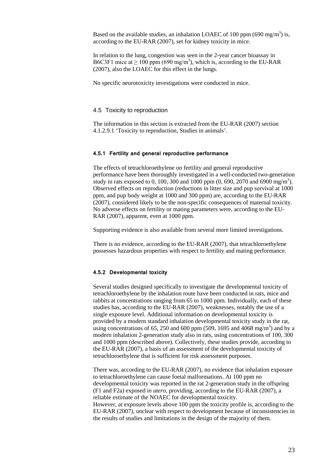Based on the available studies, an inhalation LOAEC of 100 ppm (690 mg/m<sup>3</sup>) is, according to the EU-RAR (2007), set for kidney toxicity in mice.

In relation to the lung, congestion was seen in the 2-year cancer bioassay in B6C3F1 mice at  $\geq 100$  ppm (690 mg/m<sup>3</sup>), which is, according to the EU-RAR (2007), also the LOAEC for this effect in the lungs.

No specific neurotoxicity investigations were conducted in mice.

#### <span id="page-22-0"></span>4.5 Toxicity to reproduction

The information in this section is extracted from the EU-RAR (2007) section 4.1.2.9.1 'Toxicity to reproduction, Studies in animals'.

#### <span id="page-22-1"></span>**4.5.1 Fertility and general reproductive performance**

The effects of tetrachloroethylene on fertility and general reproductive performance have been thoroughly investigated in a well-conducted two-generation study in rats exposed to 0, 100, 300 and 1000 ppm  $(0, 690, 2070)$  and  $6900 \text{ mg/m}^3$ . Observed effects on reproduction (reductions in litter size and pup survival at 1000 ppm, and pup body weight at 1000 and 300 ppm) are, according to the EU-RAR (2007), considered likely to be the non-specific consequences of maternal toxicity. No adverse effects on fertility or mating parameters were, according to the EU-RAR (2007), apparent, even at 1000 ppm.

Supporting evidence is also available from several more limited investigations.

There is no evidence, according to the EU-RAR (2007), that tetrachloroethylene possesses hazardous properties with respect to fertility and mating performance.

### <span id="page-22-2"></span>**4.5.2 Developmental toxicity**

Several studies designed specifically to investigate the developmental toxicity of tetrachloroethylene by the inhalation route have been conducted in rats, mice and rabbits at concentrations ranging from 65 to 1000 ppm. Individually, each of these studies has, according to the EU-RAR (2007), weaknesses, notably the use of a single exposure level. Additional information on developmental toxicity is provided by a modern standard inhalation developmental toxicity study in the rat, using concentrations of 65, 250 and 600 ppm (509, 1695 and 4068 mg/m<sup>3</sup>) and by a modern inhalation 2-generation study also in rats, using concentrations of 100, 300 and 1000 ppm (described above). Collectively, these studies provide, according to the EU-RAR (2007), a basis of an assessment of the developmental toxicity of tetrachloroethylene that is sufficient for risk assessment purposes.

There was, according to the EU-RAR (2007), no evidence that inhalation exposure to tetrachloroethylene can cause foetal malformations. At 100 ppm no developmental toxicity was reported in the rat 2-generation study in the offspring (F1 and F2a) exposed *in utero*, providing, according to the EU-RAR (2007), a reliable estimate of the NOAEC for developmental toxicity. However, at exposure levels above 100 ppm the toxicity profile is, according to the EU-RAR (2007), unclear with respect to development because of inconsistencies in the results of studies and limitations in the design of the majority of them.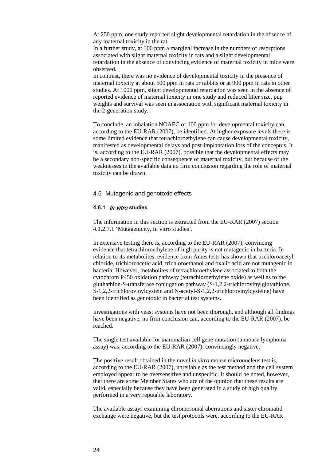At 250 ppm, one study reported slight developmental retardation in the absence of any maternal toxicity in the rat.

In a further study, at 300 ppm a marginal increase in the numbers of resorptions associated with slight maternal toxicity in rats and a slight developmental retardation in the absence of convincing evidence of maternal toxicity in mice were observed.

In contrast, there was no evidence of developmental toxicity in the presence of maternal toxicity at about 500 ppm in rats or rabbits or at 900 ppm in rats in other studies. At 1000 ppm, slight developmental retardation was seen in the absence of reported evidence of maternal toxicity in one study and reduced litter size, pup weights and survival was seen in association with significant maternal toxicity in the 2-generation study.

To conclude, an inhalation NOAEC of 100 ppm for developmental toxicity can, according to the EU-RAR (2007), be identified. At higher exposure levels there is some limited evidence that tetrachloroethylene can cause developmental toxicity, manifested as developmental delays and post-implantation loss of the conceptus. It is, according to the EU-RAR (2007), possible that the developmental effects may be a secondary non-specific consequence of maternal toxicity, but because of the weaknesses in the available data no firm conclusion regarding the role of maternal toxicity can be drawn.

#### <span id="page-23-0"></span>4.6 Mutagenic and genotoxic effects

#### <span id="page-23-1"></span>**4.6.1** In vitro **studies**

The information in this section is extracted from the EU-RAR (2007) section 4.1.2.7.1 'Mutagenicity, In vitro studies'.

In extensive testing there is, according to the EU-RAR (2007), convincing evidence that tetrachloroethylene of high purity is not mutagenic in bacteria. In relation to its metabolites, evidence from Ames tests has shown that trichloroacetyl chloride, trichloroacetic acid, trichloroethanol and oxalic acid are not mutagenic in bacteria. However, metabolites of tetrachloroethylene associated to both the cytochrom P450 oxidation pathway (tetrachloroethylene oxide) as well as to the gluthathion-S-transferase conjugation pathway (S-1,2,2-trichlorovinylglutathione, S-1,2,2-trichlorovinylcystein and N-acetyl-S-1,2,2-trichlorovinylcysteine) have been identified as genotoxic in bacterial test systems.

Investigations with yeast systems have not been thorough, and although all findings have been negative, no firm conclusion can, according to the EU-RAR (2007), be reached.

The single test available for mammalian cell gene mutation (a mouse lymphoma assay) was, according to the EU-RAR (2007), convincingly negative.

The positive result obtained in the novel *in vitro* mouse micronucleus test is, according to the EU-RAR (2007), unreliable as the test method and the cell system employed appear to be oversensitive and unspecific. It should be noted, however, that there are some Member States who are of the opinion that these results are valid, especially because they have been generated in a study of high quality performed in a very reputable laboratory.

The available assays examining chromosomal aberrations and sister chromatid exchange were negative, but the test protocols were, according to the EU-RAR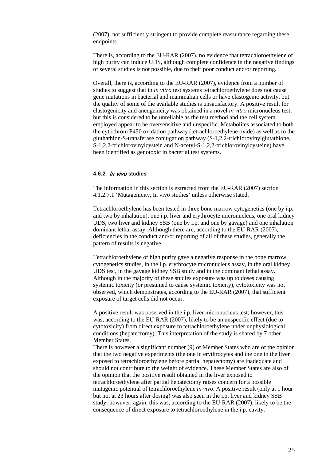(2007), not sufficiently stringent to provide complete reassurance regarding these endpoints.

There is, according to the EU-RAR (2007), no evidence that tetrachloroethylene of high purity can induce UDS, although complete confidence in the negative findings of several studies is not possible, due to their poor conduct and/or reporting.

Overall, there is, according to the EU-RAR (2007), evidence from a number of studies to suggest that in *in vitro* test systems tetrachloroethylene does not cause gene mutations in bacterial and mammalian cells or have clastogenic activity, but the quality of some of the available studies is unsatisfactory. A positive result for clastogenicity and aneugenicity was obtained in a novel *in vitro* micronucleus test, but this is considered to be unreliable as the test method and the cell system employed appear to be oversensitive and unspecific. Metabolites associated to both the cytochrom P450 oxidation pathway (tetrachloroethylene oxide) as well as to the gluthathion-S-transferase conjugation pathway (S-1,2,2-trichlorovinylglutathione, S-1,2,2-trichlorovinylcystein and N-acetyl-S-1,2,2-trichlorovinylcysteine) have been identified as genotoxic in bacterial test systems.

### <span id="page-24-0"></span>**4.6.2** In vivo **studies**

The information in this section is extracted from the EU-RAR (2007) section 4.1.2.7.1 'Mutagenicity, In vivo studies' unless otherwise stated.

Tetrachloroethylene has been tested in three bone marrow cytogenetics (one by i.p. and two by inhalation), one i.p. liver and erythrocyte micronucleus, one oral kidney UDS, two liver and kidney SSB (one by i.p. and one by gavage) and one inhalation dominant lethal assay. Although there are, according to the EU-RAR (2007), deficiencies in the conduct and/or reporting of all of these studies, generally the pattern of results is negative.

Tetrachloroethylene of high purity gave a negative response in the bone marrow cytogenetics studies, in the i.p. erythrocyte micronucleus assay, in the oral kidney UDS test, in the gavage kidney SSB study and in the dominant lethal assay. Although in the majority of these studies exposure was up to doses causing systemic toxicity (or presumed to cause systemic toxicity), cytotoxicity was not observed, which demonstrates, according to the EU-RAR (2007), that sufficient exposure of target cells did not occur.

A positive result was observed in the i.p. liver micronucleus test; however, this was, according to the EU-RAR (2007), likely to be an unspecific effect (due to cytotoxicity) from direct exposure to tetrachloroethylene under unphysiological conditions (hepatectomy). This interpretation of the study is shared by 7 other Member States.

There is however a significant number (9) of Member States who are of the opinion that the two negative experiments (the one in erythrocytes and the one in the liver exposed to tetrachloroethylene before partial hepatectomy) are inadequate and should not contribute to the weight of evidence. These Member States are also of the opinion that the positive result obtained in the liver exposed to tetrachloroethylene after partial hepatectomy raises concern for a possible mutagenic potential of tetrachloroethylene *in vivo*. A positive result (only at 1 hour but not at 23 hours after dosing) was also seen in the i.p. liver and kidney SSB study; however, again, this was, according to the EU-RAR (2007), likely to be the consequence of direct exposure to tetrachloroethylene in the i.p. cavity.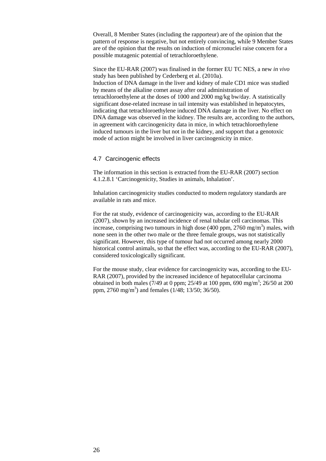Overall, 8 Member States (including the rapporteur) are of the opinion that the pattern of response is negative, but not entirely convincing, while 9 Member States are of the opinion that the results on induction of micronuclei raise concern for a possible mutagenic potential of tetrachloroethylene.

Since the EU-RAR (2007) was finalised in the former EU TC NES, a new *in vivo* study has been published by Cederberg et al. (2010a). Induction of DNA damage in the liver and kidney of male CD1 mice was studied by means of the alkaline comet assay after oral administration of tetrachloroethylene at the doses of 1000 and 2000 mg/kg bw/day. A statistically significant dose-related increase in tail intensity was established in hepatocytes, indicating that tetrachloroethylene induced DNA damage in the liver. No effect on DNA damage was observed in the kidney. The results are, according to the authors, in agreement with carcinogenicity data in mice, in which tetrachloroethylene induced tumours in the liver but not in the kidney, and support that a genotoxic mode of action might be involved in liver carcinogenicity in mice.

#### <span id="page-25-0"></span>4.7 Carcinogenic effects

The information in this section is extracted from the EU-RAR (2007) section 4.1.2.8.1 'Carcinogenicity, Studies in animals, Inhalation'.

Inhalation carcinogenicity studies conducted to modern regulatory standards are available in rats and mice.

For the rat study, evidence of carcinogenicity was, according to the EU-RAR (2007), shown by an increased incidence of renal tubular cell carcinomas. This increase, comprising two tumours in high dose (400 ppm,  $2760 \text{ mg/m}^3$ ) males, with none seen in the other two male or the three female groups, was not statistically significant. However, this type of tumour had not occurred among nearly 2000 historical control animals, so that the effect was, according to the EU-RAR (2007), considered toxicologically significant.

For the mouse study, clear evidence for carcinogenicity was, according to the EU-RAR (2007), provided by the increased incidence of hepatocellular carcinoma obtained in both males (7/49 at 0 ppm; 25/49 at 100 ppm, 690 mg/m<sup>3</sup>; 26/50 at 200 ppm, 2760 mg/m<sup>3</sup>) and females (1/48; 13/50; 36/50).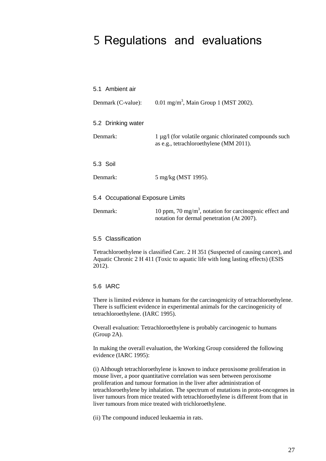## <span id="page-26-0"></span>5 Regulations and evaluations

<span id="page-26-3"></span><span id="page-26-2"></span><span id="page-26-1"></span>

|                                  | 5.1 Ambient air    |                                                                                                                   |
|----------------------------------|--------------------|-------------------------------------------------------------------------------------------------------------------|
|                                  | Denmark (C-value): | 0.01 mg/m <sup>3</sup> , Main Group 1 (MST 2002).                                                                 |
|                                  | 5.2 Drinking water |                                                                                                                   |
|                                  | Denmark:           | $1 \mu g/l$ (for volatile organic chlorinated compounds such<br>as e.g., tetrachloroethylene (MM 2011).           |
|                                  | 5.3 Soil           |                                                                                                                   |
|                                  | Denmark:           | 5 mg/kg (MST 1995).                                                                                               |
| 5.4 Occupational Exposure Limits |                    |                                                                                                                   |
|                                  | Denmark:           | 10 ppm, 70 mg/m <sup>3</sup> , notation for carcinogenic effect and<br>notation for dermal penetration (At 2007). |

## <span id="page-26-5"></span><span id="page-26-4"></span>5.5 Classification

Tetrachloroethylene is classified Carc. 2 H 351 (Suspected of causing cancer), and Aquatic Chronic 2 H 411 (Toxic to aquatic life with long lasting effects) (ESIS 2012).

## <span id="page-26-6"></span>5.6 IARC

There is limited evidence in humans for the carcinogenicity of tetrachloroethylene. There is sufficient evidence in experimental animals for the carcinogenicity of tetrachloroethylene. (IARC 1995).

Overall evaluation: Tetrachloroethylene is probably carcinogenic to humans (Group 2A).

In making the overall evaluation, the Working Group considered the following evidence (IARC 1995):

(i) Although tetrachloroethylene is known to induce peroxisome proliferation in mouse liver, a poor quantitative correlation was seen between peroxisome proliferation and tumour formation in the liver after administration of tetrachloroethylene by inhalation. The spectrum of mutations in proto-oncogenes in liver tumours from mice treated with tetrachloroethylene is different from that in liver tumours from mice treated with trichloroethylene.

(ii) The compound induced leukaemia in rats.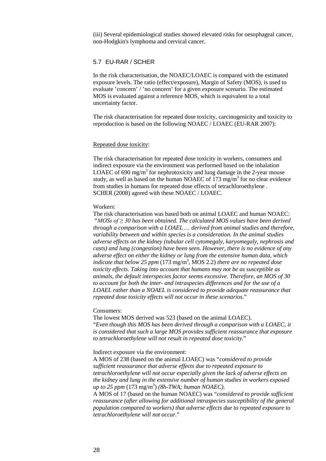(iii) Several epidemiological studies showed elevated risks for oesophageal cancer, non-Hodgkin's lymphoma and cervical cancer.

### <span id="page-27-0"></span>5.7 EU-RAR / SCHER

In the risk characterisation, the NOAEC/LOAEC is compared with the estimated exposure levels. The ratio (effect/exposure), Margin of Safety (MOS), is used to evaluate 'concern' / 'no concern' for a given exposure scenario. The estimated MOS is evaluated against a reference MOS, which is equivalent to a total uncertainty factor.

The risk characterisation for repeated dose toxicity, carcinogenicity and toxicity to reproduction is based on the following NOAEC / LOAEC (EU-RAR 2007):

#### Repeated dose toxicity:

The risk characterisation for repeated dose toxicity in workers, consumers and indirect exposure via the environment was performed based on the inhalation LOAEC of 690 mg/m<sup>3</sup> for nephrotoxicity and lung damage in the 2-year mouse study, as well as based on the human NOAEC of 173 mg/m<sup>3</sup> for no clear evidence from studies in humans for repeated dose effects of tetrachloroethylene . SCHER (2008) agreed with these NOAEC / LOAEC.

#### Workers:

The risk characterisation was based both on animal LOAEC and human NOAEC: "*MOSs of ≥ 30 has been obtained. The calculated MOS values have been derived through a comparison with a LOAEL … derived from animal studies and therefore, variability between and within species is a consideration. In the animal studies adverse effects on the kidney (tubular cell cytomegaly, karyomegaly, nephrosis and casts) and lung (congestion) have been seen. However, there is no evidence of any adverse effect on either the kidney or lung from the extensive human data, which indicate that below 25 ppm* (173 mg/m3 , MOS 2.2) *there are no repeated dose toxicity effects. Taking into account that humans may not be as susceptible as animals, the default interspecies factor seems excessive. Therefore, an MOS of 30 to account for both the inter- and intraspecies differences and for the use of a LOAEL rather than a NOAEL is considered to provide adequate reassurance that repeated dose toxicity effects will not occur in these scenarios.*"

#### Consumers:

The lowest MOS derived was 523 (based on the animal LOAEC). "*Even though this MOS has been derived through a comparison with a LOAEC, it is considered that such a large MOS provides sufficient reassurance that exposure to tetrachloroethylene will not result in repeated dose toxicity.*"

Indirect exposure via the environment:

A MOS of 238 (based on the animal LOAEC) was "*considered to provide sufficient reassurance that adverse effects due to repeated exposure to tetrachloroethylene will not occur especially given the lack of adverse effects on the kidney and lung in the extensive number of human studies in workers exposed up to 25 ppm* (173 mg/m3 ) *(8h-TWA; human NOAEC)*.

A MOS of 17 (based on the human NOAEC) was "*considered to provide sufficient reassurance (after allowing for additional intraspecies susceptibility of the general population compared to workers) that adverse effects due to repeated exposure to tetrachloroethylene will not occur.*"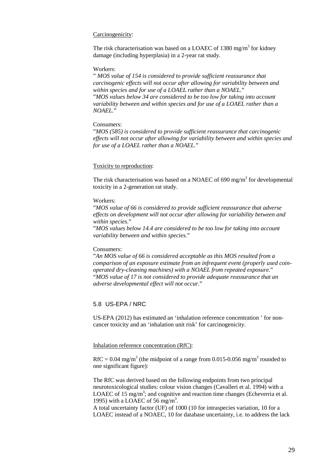## Carcinogenicity:

The risk characterisation was based on a LOAEC of 1380 mg/m<sup>3</sup> for kidney damage (including hyperplasia) in a 2-year rat study.

#### Workers:

" *MOS value of 154 is considered to provide sufficient reassurance that carcinogenic effects will not occur after allowing for variability between and within species and for use of a LOAEL rather than a NOAEL.*" "*MOS values below 34 are considered to be too low for taking into account variability between and within species and for use of a LOAEL rather than a NOAEL.*"

#### Consumers:

"*MOS (585) is considered to provide sufficient reassurance that carcinogenic effects will not occur after allowing for variability between and within species and for use of a LOAEL rather than a NOAEL.*"

#### Toxicity to reproduction:

The risk characterisation was based on a NOAEC of 690 mg/m<sup>3</sup> for developmental toxicity in a 2-generation rat study.

#### Workers:

"*MOS value of 66 is considered to provide sufficient reassurance that adverse effects on development will not occur after allowing for variability between and within species.*"

"*MOS values below 14.4 are considered to be too low for taking into account variability between and within species.*"

### Consumers:

"*An MOS value of 66 is considered acceptable as this MOS resulted from a comparison of an exposure estimate from an infrequent event (properly used coinoperated dry-cleaning machines) with a NOAEL from repeated exposure.*" "*MOS value of 17 is not considered to provide adequate reassurance that an adverse developmental effect will not occur.*"

## <span id="page-28-0"></span>5.8 US-EPA / NRC

US-EPA (2012) has estimated an 'inhalation reference concentration ' for noncancer toxicity and an 'inhalation unit risk' for carcinogenicity.

## Inhalation reference concentration (RfC):

 $RfC = 0.04$  mg/m<sup>3</sup> (the midpoint of a range from 0.015-0.056 mg/m<sup>3</sup> rounded to one significant figure):

The RfC was derived based on the following endpoints from two principal neurotoxicological studies: colour vision changes (Cavalleri et al. 1994) with a LOAEC of 15 mg/m<sup>3</sup>; and cognitive and reaction time changes (Echeverria et al. 1995) with a LOAEC of 56 mg/m<sup>3</sup>.

A total uncertainty factor (UF) of 1000 (10 for intraspecies variation, 10 for a LOAEC instead of a NOAEC, 10 for database uncertainty, i.e. to address the lack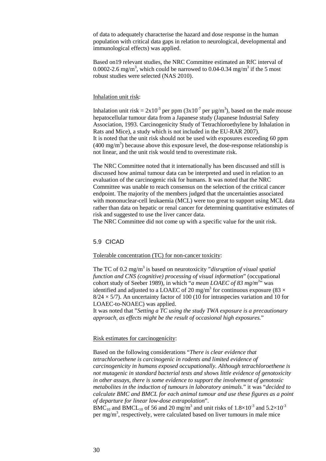of data to adequately characterise the hazard and dose response in the human population with critical data gaps in relation to neurological, developmental and immunological effects) was applied.

Based on19 relevant studies, the NRC Committee estimated an RfC interval of 0.0002-2.6 mg/m<sup>3</sup>, which could be narrowed to 0.04-0.34 mg/m<sup>3</sup> if the 5 most robust studies were selected (NAS 2010).

#### Inhalation unit risk:

Inhalation unit risk =  $2x10^{-3}$  per ppm  $(3x10^{-7}$  per  $\mu g/m^3)$ , based on the male mouse hepatocellular tumour data from a Japanese study (Japanese Industrial Safety Association, 1993. Carcinogenicity Study of Tetrachloroethylene by Inhalation in Rats and Mice), a study which is not included in the EU-RAR 2007). It is noted that the unit risk should not be used with exposures exceeding 60 ppm  $(400 \text{ mg/m}^3)$  because above this exposure level, the dose-response relationship is not linear, and the unit risk would tend to overestimate risk.

The NRC Committee noted that it internationally has been discussed and still is discussed how animal tumour data can be interpreted and used in relation to an evaluation of the carcinogenic risk for humans. It was noted that the NRC Committee was unable to reach consensus on the selection of the critical cancer endpoint. The majority of the members judged that the uncertainties associated with mononuclear-cell leukaemia (MCL) were too great to support using MCL data rather than data on hepatic or renal cancer for determining quantitative estimates of risk and suggested to use the liver cancer data.

The NRC Committee did not come up with a specific value for the unit risk.

#### <span id="page-29-0"></span>5.9 CICAD

#### Tolerable concentration (TC) for non-cancer toxicity:

The TC of 0.2 mg/m3 is based on neurotoxicity "*disruption of visual spatial function and CNS (cognitive) processing of visual information*" (occupational cohort study of Seeber 1989), in which "*a mean LOAEC of 83 mg/m*<sup>3</sup>" was identified and adjusted to a LOAEC of 20 mg/m<sup>3</sup> for continuous exposure (83  $\times$  $8/24 \times 5/7$ ). An uncertainty factor of 100 (10 for intraspecies variation and 10 for LOAEC-to-NOAEC) was applied.

It was noted that "*Setting a TC using the study TWA exposure is a precautionary approach, as effects might be the result of occasional high exposures.*"

## Risk estimates for carcinogenicity:

Based on the following considerations "*There is clear evidence that tetrachloroethene is carcinogenic in rodents and limited evidence of carcinogenicity in humans exposed occupationally. Although tetrachloroethene is not mutagenic in standard bacterial tests and shows little evidence of genotoxicity in other assays, there is some evidence to support the involvement of genotoxic metabolites in the induction of tumours in laboratory animals.*" it was "*decided to calculate BMC and BMCL for each animal tumour and use these figures as a point of departure for linear low-dose extrapolation*".

BMC<sub>10</sub> and BMCL<sub>10</sub> of 56 and 20 mg/m<sup>3</sup> and unit risks of 1.8×10<sup>-3</sup> and 5.2×10<sup>-3</sup> per mg/m<sup>3</sup>, respectively, were calculated based on liver tumours in male mice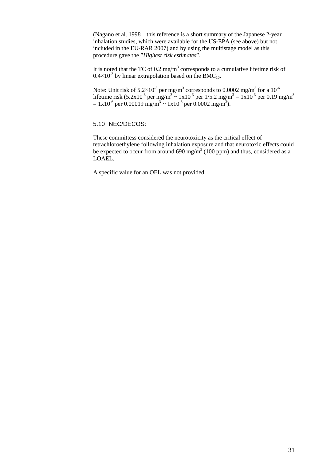(Nagano et al. 1998 – this reference is a short summary of the Japanese 2-year inhalation studies, which were available for the US-EPA (see above) but not included in the EU-RAR 2007) and by using the multistage model as this procedure gave the "*Highest risk estimates*".

It is noted that the TC of 0.2 mg/m<sup>3</sup> corresponds to a cumulative lifetime risk of  $0.4\times10^{-3}$  by linear extrapolation based on the BMC<sub>10</sub>.

Note: Unit risk of  $5.2\times10^{3}$  per mg/m<sup>3</sup> corresponds to 0.0002 mg/m<sup>3</sup> for a 10<sup>-6</sup> lifetime risk  $(5.2x10^{-3} \text{ per mg/m}^3 \sim 1x10^{-3} \text{ per } 1/5.2 \text{ mg/m}^3 = 1x10^{-3} \text{ per } 0.19 \text{ mg/m}^3$  $= 1x10^{-6}$  per 0.00019 mg/m<sup>3</sup> ~ 1x10<sup>-6</sup> per 0.0002 mg/m<sup>3</sup>).

## <span id="page-30-0"></span>5.10 NEC/DECOS:

These committess considered the neurotoxicity as the critical effect of tetrachloroethylene following inhalation exposure and that neurotoxic effects could be expected to occur from around 690 mg/m<sup>3</sup> (100 ppm) and thus, considered as a LOAEL.

A specific value for an OEL was not provided.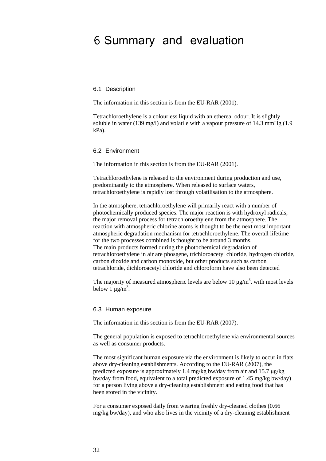## <span id="page-31-0"></span>6 Summary and evaluation

#### <span id="page-31-1"></span>6.1 Description

The information in this section is from the EU-RAR (2001).

Tetrachloroethylene is a colourless liquid with an ethereal odour. It is slightly soluble in water (139 mg/l) and volatile with a vapour pressure of 14.3 mmHg (1.9 kPa).

#### <span id="page-31-2"></span>6.2 Environment

The information in this section is from the EU-RAR (2001).

Tetrachloroethylene is released to the environment during production and use, predominantly to the atmosphere. When released to surface waters, tetrachloroethylene is rapidly lost through volatilisation to the atmosphere.

In the atmosphere, tetrachloroethylene will primarily react with a number of photochemically produced species. The major reaction is with hydroxyl radicals, the major removal process for tetrachloroethylene from the atmosphere. The reaction with atmospheric chlorine atoms is thought to be the next most important atmospheric degradation mechanism for tetrachloroethylene. The overall lifetime for the two processes combined is thought to be around 3 months. The main products formed during the photochemical degradation of tetrachloroethylene in air are phosgene, trichloroacetyl chloride, hydrogen chloride, carbon dioxide and carbon monoxide, but other products such as carbon tetrachloride, dichloroacetyl chloride and chloroform have also been detected

The majority of measured atmospheric levels are below 10  $\mu$ g/m<sup>3</sup>, with most levels below 1  $\mu$ g/m<sup>3</sup>.

#### <span id="page-31-3"></span>6.3 Human exposure

The information in this section is from the EU-RAR (2007).

The general population is exposed to tetrachloroethylene via environmental sources as well as consumer products.

The most significant human exposure via the environment is likely to occur in flats above dry-cleaning establishments. According to the EU-RAR (2007), the predicted exposure is approximately 1.4 mg/kg bw/day from air and 15.7 μg/kg bw/day from food, equivalent to a total predicted exposure of 1.45 mg/kg bw/day) for a person living above a dry-cleaning establishment and eating food that has been stored in the vicinity.

For a consumer exposed daily from wearing freshly dry-cleaned clothes (0.66 mg/kg bw/day), and who also lives in the vicinity of a dry-cleaning establishment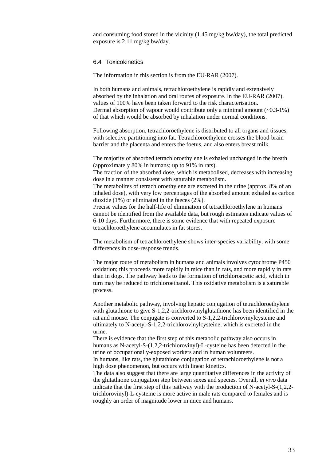and consuming food stored in the vicinity  $(1.45 \text{ mg/kg}$  bw/day), the total predicted exposure is 2.11 mg/kg bw/day.

#### <span id="page-32-0"></span>6.4 Toxicokinetics

The information in this section is from the EU-RAR (2007).

In both humans and animals, tetrachloroethylene is rapidly and extensively absorbed by the inhalation and oral routes of exposure. In the EU-RAR (2007), values of 100% have been taken forward to the risk characterisation. Dermal absorption of vapour would contribute only a minimal amount  $(\sim 0.3-1\%)$ of that which would be absorbed by inhalation under normal conditions.

Following absorption, tetrachloroethylene is distributed to all organs and tissues, with selective partitioning into fat. Tetrachloroethylene crosses the blood-brain barrier and the placenta and enters the foetus, and also enters breast milk.

The majority of absorbed tetrachloroethylene is exhaled unchanged in the breath (approximately 80% in humans; up to 91% in rats).

The fraction of the absorbed dose, which is metabolised, decreases with increasing dose in a manner consistent with saturable metabolism.

The metabolites of tetrachloroethylene are excreted in the urine (approx. 8% of an inhaled dose), with very low percentages of the absorbed amount exhaled as carbon dioxide (1%) or eliminated in the faeces (2%).

Precise values for the half-life of elimination of tetrachloroethylene in humans cannot be identified from the available data, but rough estimates indicate values of 6-10 days. Furthermore, there is some evidence that with repeated exposure tetrachloroethylene accumulates in fat stores.

The metabolism of tetrachloroethylene shows inter-species variability, with some differences in dose-response trends.

The major route of metabolism in humans and animals involves cytochrome P450 oxidation; this proceeds more rapidly in mice than in rats, and more rapidly in rats than in dogs. The pathway leads to the formation of trichloroacetic acid, which in turn may be reduced to trichloroethanol. This oxidative metabolism is a saturable process.

Another metabolic pathway, involving hepatic conjugation of tetrachloroethylene with glutathione to give S-1,2,2-trichlorovinylglutathione has been identified in the rat and mouse. The conjugate is converted to S-1,2,2-trichlorovinylcysteine and ultimately to N-acetyl-S-1,2,2-trichlorovinylcysteine, which is excreted in the urine.

There is evidence that the first step of this metabolic pathway also occurs in humans as N-acetyl-S-(1,2,2-trichlorovinyl)-L-cysteine has been detected in the urine of occupationally-exposed workers and in human volunteers.

In humans, like rats, the glutathione conjugation of tetrachloroethylene is not a high dose phenomenon, but occurs with linear kinetics.

The data also suggest that there are large quantitative differences in the activity of the glutathione conjugation step between sexes and species. Overall, *in vivo* data indicate that the first step of this pathway with the production of N-acetyl-S-(1,2,2 trichlorovinyl)-L-cysteine is more active in male rats compared to females and is roughly an order of magnitude lower in mice and humans.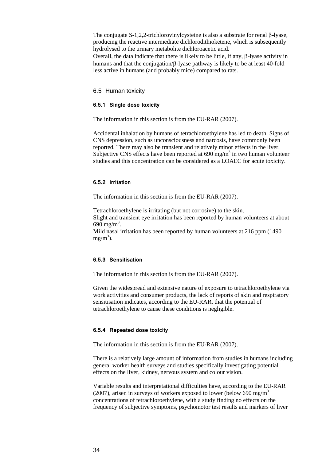The conjugate S-1,2,2-trichlorovinylcysteine is also a substrate for renal β-lyase, producing the reactive intermediate dichlorodithioketene, which is subsequently hydrolysed to the urinary metabolite dichloroacetic acid.

Overall, the data indicate that there is likely to be little, if any, β-lyase activity in humans and that the conjugation/β-lyase pathway is likely to be at least 40-fold less active in humans (and probably mice) compared to rats.

#### <span id="page-33-0"></span>6.5 Human toxicity

#### <span id="page-33-1"></span>**6.5.1 Single dose toxicity**

The information in this section is from the EU-RAR (2007).

Accidental inhalation by humans of tetrachloroethylene has led to death. Signs of CNS depression, such as unconsciousness and narcosis, have commonly been reported. There may also be transient and relatively minor effects in the liver. Subjective CNS effects have been reported at  $690 \text{ mg/m}^3$  in two human volunteer studies and this concentration can be considered as a LOAEC for acute toxicity.

## <span id="page-33-2"></span>**6.5.2 Irritation**

The information in this section is from the EU-RAR (2007).

Tetrachloroethylene is irritating (but not corrosive) to the skin. Slight and transient eye irritation has been reported by human volunteers at about 690 mg/m<sup>3</sup>. Mild nasal irritation has been reported by human volunteers at 216 ppm (1490  $mg/m<sup>3</sup>$ ).

#### <span id="page-33-3"></span>**6.5.3 Sensitisation**

The information in this section is from the EU-RAR (2007).

Given the widespread and extensive nature of exposure to tetrachloroethylene via work activities and consumer products, the lack of reports of skin and respiratory sensitisation indicates, according to the EU-RAR, that the potential of tetrachloroethylene to cause these conditions is negligible.

#### <span id="page-33-4"></span>**6.5.4 Repeated dose toxicity**

The information in this section is from the EU-RAR (2007).

There is a relatively large amount of information from studies in humans including general worker health surveys and studies specifically investigating potential effects on the liver, kidney, nervous system and colour vision.

Variable results and interpretational difficulties have, according to the EU-RAR (2007), arisen in surveys of workers exposed to lower (below 690 mg/m<sup>3</sup> concentrations of tetrachloroethylene, with a study finding no effects on the frequency of subjective symptoms, psychomotor test results and markers of liver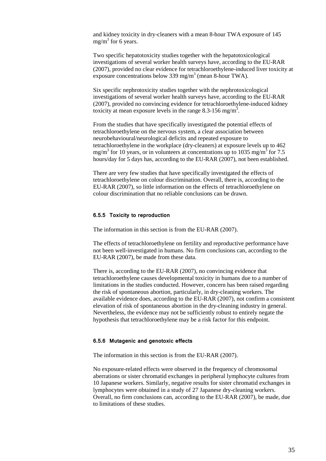and kidney toxicity in dry-cleaners with a mean 8-hour TWA exposure of 145 mg/m<sup>3</sup> for 6 years.

Two specific hepatotoxicity studies together with the hepatotoxicological investigations of several worker health surveys have, according to the EU-RAR (2007), provided no clear evidence for tetrachloroethylene-induced liver toxicity at exposure concentrations below 339 mg/m3 (mean 8-hour TWA).

Six specific nephrotoxicity studies together with the nephrotoxicological investigations of several worker health surveys have, according to the EU-RAR (2007), provided no convincing evidence for tetrachloroethylene-induced kidney toxicity at mean exposure levels in the range 8.3-156 mg/m<sup>3</sup>.

From the studies that have specifically investigated the potential effects of tetrachloroethylene on the nervous system, a clear association between neurobehavioural/neurological deficits and repeated exposure to tetrachloroethylene in the workplace (dry-cleaners) at exposure levels up to 462 mg/m<sup>3</sup> for 10 years, or in volunteers at concentrations up to 1035 mg/m<sup>3</sup> for 7.5 hours/day for 5 days has, according to the EU-RAR (2007), not been established.

There are very few studies that have specifically investigated the effects of tetrachloroethylene on colour discrimination. Overall, there is, according to the EU-RAR (2007), so little information on the effects of tetrachloroethylene on colour discrimination that no reliable conclusions can be drawn.

#### <span id="page-34-0"></span>**6.5.5 Toxicity to reproduction**

The information in this section is from the EU-RAR (2007).

The effects of tetrachloroethylene on fertility and reproductive performance have not been well-investigated in humans. No firm conclusions can, according to the EU-RAR (2007), be made from these data.

There is, according to the EU-RAR (2007), no convincing evidence that tetrachloroethylene causes developmental toxicity in humans due to a number of limitations in the studies conducted. However, concern has been raised regarding the risk of spontaneous abortion, particularly, in dry-cleaning workers. The available evidence does, according to the EU-RAR (2007), not confirm a consistent elevation of risk of spontaneous abortion in the dry-cleaning industry in general. Nevertheless, the evidence may not be sufficiently robust to entirely negate the hypothesis that tetrachloroethylene may be a risk factor for this endpoint.

#### <span id="page-34-1"></span>**6.5.6 Mutagenic and genotoxic effects**

The information in this section is from the EU-RAR (2007).

No exposure-related effects were observed in the frequency of chromosomal aberrations or sister chromatid exchanges in peripheral lymphocyte cultures from 10 Japanese workers. Similarly, negative results for sister chromatid exchanges in lymphocytes were obtained in a study of 27 Japanese dry-cleaning workers. Overall, no firm conclusions can, according to the EU-RAR (2007), be made, due to limitations of these studies.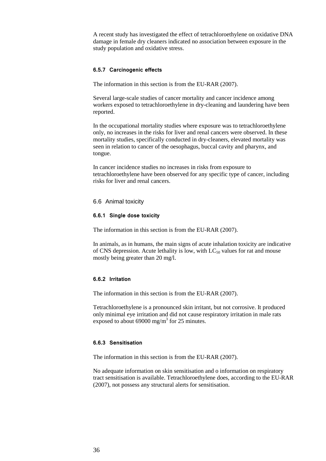A recent study has investigated the effect of tetrachloroethylene on oxidative DNA damage in female dry cleaners indicated no association between exposure in the study population and oxidative stress.

#### <span id="page-35-0"></span>**6.5.7 Carcinogenic effects**

The information in this section is from the EU-RAR (2007).

Several large-scale studies of cancer mortality and cancer incidence among workers exposed to tetrachloroethylene in dry-cleaning and laundering have been reported.

In the occupational mortality studies where exposure was to tetrachloroethylene only, no increases in the risks for liver and renal cancers were observed. In these mortality studies, specifically conducted in dry-cleaners, elevated mortality was seen in relation to cancer of the oesophagus, buccal cavity and pharynx, and tongue.

In cancer incidence studies no increases in risks from exposure to tetrachloroethylene have been observed for any specific type of cancer, including risks for liver and renal cancers.

### <span id="page-35-1"></span>6.6 Animal toxicity

#### <span id="page-35-2"></span>**6.6.1 Single dose toxicity**

The information in this section is from the EU-RAR (2007).

In animals, as in humans, the main signs of acute inhalation toxicity are indicative of CNS depression. Acute lethality is low, with  $LC_{50}$  values for rat and mouse mostly being greater than 20 mg/l.

### <span id="page-35-3"></span>**6.6.2 Irritation**

The information in this section is from the EU-RAR (2007).

Tetrachloroethylene is a pronounced skin irritant, but not corrosive. It produced only minimal eye irritation and did not cause respiratory irritation in male rats exposed to about 69000 mg/m<sup>3</sup> for 25 minutes.

#### <span id="page-35-4"></span>**6.6.3 Sensitisation**

The information in this section is from the EU-RAR (2007).

No adequate information on skin sensitisation and o information on respiratory tract sensitisation is available. Tetrachloroethylene does, according to the EU-RAR (2007), not possess any structural alerts for sensitisation.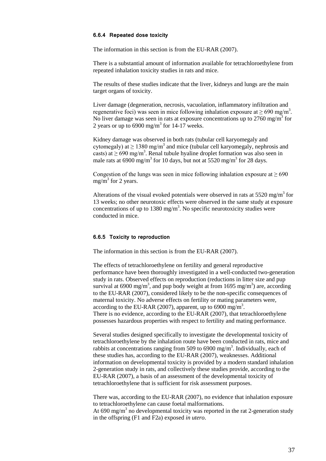#### <span id="page-36-0"></span>**6.6.4 Repeated dose toxicity**

The information in this section is from the EU-RAR (2007).

There is a substantial amount of information available for tetrachloroethylene from repeated inhalation toxicity studies in rats and mice.

The results of these studies indicate that the liver, kidneys and lungs are the main target organs of toxicity.

Liver damage (degeneration, necrosis, vacuolation, inflammatory infiltration and regenerative foci) was seen in mice following inhalation exposure at  $\geq 690$  mg/m<sup>3</sup>. No liver damage was seen in rats at exposure concentrations up to  $2760 \text{ mg/m}^3$  for 2 years or up to  $6900$  mg/m<sup>3</sup> for 14-17 weeks.

Kidney damage was observed in both rats (tubular cell karyomegaly and cytomegaly) at  $\geq 1380$  mg/m<sup>3</sup> and mice (tubular cell karyomegaly, nephrosis and casts) at  $\geq 690$  mg/m<sup>3</sup>. Renal tubule hyaline droplet formation was also seen in male rats at 6900 mg/m<sup>3</sup> for 10 days, but not at 5520 mg/m<sup>3</sup> for 28 days.

Congestion of the lungs was seen in mice following inhalation exposure at  $\geq 690$ mg/m<sup>3</sup> for 2 years.

Alterations of the visual evoked potentials were observed in rats at  $5520 \text{ mg/m}^3$  for 13 weeks; no other neurotoxic effects were observed in the same study at exposure concentrations of up to 1380 mg/ $m<sup>3</sup>$ . No specific neurotoxicity studies were conducted in mice.

### <span id="page-36-1"></span>**6.6.5 Toxicity to reproduction**

The information in this section is from the EU-RAR (2007).

The effects of tetrachloroethylene on fertility and general reproductive performance have been thoroughly investigated in a well-conducted two-generation study in rats. Observed effects on reproduction (reductions in litter size and pup survival at 6900 mg/m<sup>3</sup>, and pup body weight at from 1695 mg/m<sup>3</sup>) are, according to the EU-RAR (2007), considered likely to be the non-specific consequences of maternal toxicity. No adverse effects on fertility or mating parameters were, according to the EU-RAR (2007), apparent, up to 6900 mg/m<sup>3</sup>. There is no evidence, according to the EU-RAR (2007), that tetrachloroethylene possesses hazardous properties with respect to fertility and mating performance.

Several studies designed specifically to investigate the developmental toxicity of tetrachloroethylene by the inhalation route have been conducted in rats, mice and rabbits at concentrations ranging from 509 to 6900 mg/m<sup>3</sup>. Individually, each of these studies has, according to the EU-RAR (2007), weaknesses. Additional information on developmental toxicity is provided by a modern standard inhalation 2-generation study in rats, and collectively these studies provide, according to the EU-RAR (2007), a basis of an assessment of the developmental toxicity of tetrachloroethylene that is sufficient for risk assessment purposes.

There was, according to the EU-RAR (2007), no evidence that inhalation exposure to tetrachloroethylene can cause foetal malformations. At 690 mg/m<sup>3</sup> no developmental toxicity was reported in the rat 2-generation study

in the offspring (F1 and F2a) exposed *in utero*.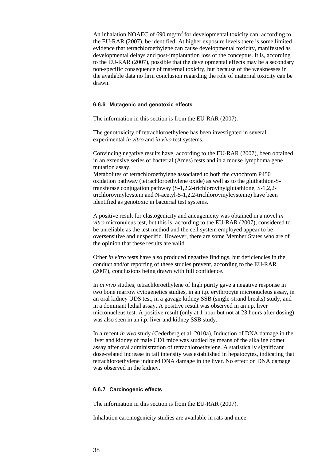An inhalation NOAEC of 690 mg/m<sup>3</sup> for developmental toxicity can, according to the EU-RAR (2007), be identified. At higher exposure levels there is some limited evidence that tetrachloroethylene can cause developmental toxicity, manifested as developmental delays and post-implantation loss of the conceptus. It is, according to the EU-RAR (2007), possible that the developmental effects may be a secondary non-specific consequence of maternal toxicity, but because of the weaknesses in the available data no firm conclusion regarding the role of maternal toxicity can be drawn.

#### <span id="page-37-0"></span>**6.6.6 Mutagenic and genotoxic effects**

The information in this section is from the EU-RAR (2007).

The genotoxicity of tetrachloroethylene has been investigated in several experimental *in vitro* and *in vivo* test systems.

Convincing negative results have, according to the EU-RAR (2007), been obtained in an extensive series of bacterial (Ames) tests and in a mouse lymphoma gene mutation assay.

Metabolites of tetrachloroethylene associated to both the cytochrom P450 oxidation pathway (tetrachloroethylene oxide) as well as to the gluthathion-Stransferase conjugation pathway (S-1,2,2-trichlorovinylglutathione, S-1,2,2 trichlorovinylcystein and N-acetyl-S-1,2,2-trichlorovinylcysteine) have been identified as genotoxic in bacterial test systems.

A positive result for clastogenicity and aneugenicity was obtained in a novel *in vitro* micronuleus test, but this is, according to the EU-RAR (2007), considered to be unreliable as the test method and the cell system employed appear to be oversensitive and unspecific. However, there are some Member States who are of the opinion that these results are valid.

Other *in vitro* tests have also produced negative findings, but deficiencies in the conduct and/or reporting of these studies prevent, according to the EU-RAR (2007), conclusions being drawn with full confidence.

In *in vivo* studies, tetrachloroethylene of high purity gave a negative response in two bone marrow cytogenetics studies, in an i.p. erythrocyte micronucleus assay, in an oral kidney UDS test, in a gavage kidney SSB (single-strand breaks) study, and in a dominant lethal assay. A positive result was observed in an i.p. liver micronucleus test. A positive result (only at 1 hour but not at 23 hours after dosing) was also seen in an i.p. liver and kidney SSB study.

In a recent *in vivo* study (Cederberg et al. 2010a), Induction of DNA damage in the liver and kidney of male CD1 mice was studied by means of the alkaline comet assay after oral administration of tetrachloroethylene. A statistically significant dose-related increase in tail intensity was established in hepatocytes, indicating that tetrachloroethylene induced DNA damage in the liver. No effect on DNA damage was observed in the kidney.

#### <span id="page-37-1"></span>**6.6.7 Carcinogenic effects**

The information in this section is from the EU-RAR (2007).

Inhalation carcinogenicity studies are available in rats and mice.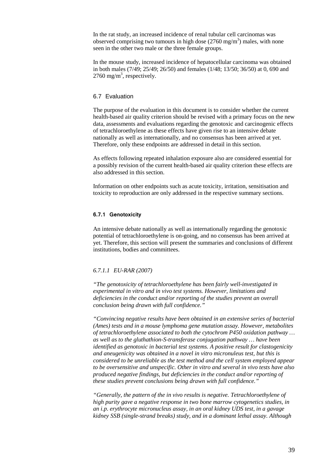In the rat study, an increased incidence of renal tubular cell carcinomas was observed comprising two tumours in high dose  $(2760 \text{ mg/m}^3)$  males, with none seen in the other two male or the three female groups.

In the mouse study, increased incidence of hepatocellular carcinoma was obtained in both males (7/49; 25/49; 26/50) and females (1/48; 13/50; 36/50) at 0, 690 and  $2760 \text{ mg/m}^3$ , respectively.

## <span id="page-38-0"></span>6.7 Evaluation

The purpose of the evaluation in this document is to consider whether the current health-based air quality criterion should be revised with a primary focus on the new data, assessments and evaluations regarding the genotoxic and carcinogenic effects of tetrachloroethylene as these effects have given rise to an intensive debate nationally as well as internationally, and no consensus has been arrived at yet. Therefore, only these endpoints are addressed in detail in this section.

As effects following repeated inhalation exposure also are considered essential for a possibly revision of the current health-based air quality criterion these effects are also addressed in this section.

Information on other endpoints such as acute toxicity, irritation, sensitisation and toxicity to reproduction are only addressed in the respective summary sections.

#### <span id="page-38-1"></span>**6.7.1 Genotoxicity**

An intensive debate nationally as well as internationally regarding the genotoxic potential of tetrachloroethylene is on-going, and no consensus has been arrived at yet. Therefore, this section will present the summaries and conclusions of different institutions, bodies and committees.

## *6.7.1.1 EU-RAR (2007)*

*"The genotoxicity of tetrachloroethylene has been fairly well-investigated in experimental in vitro and in vivo test systems. However, limitations and deficiencies in the conduct and/or reporting of the studies prevent an overall conclusion being drawn with full confidence."*

*"Convincing negative results have been obtained in an extensive series of bacterial (Ames) tests and in a mouse lymphoma gene mutation assay. However, metabolites of tetrachloroethylene associated to both the cytochrom P450 oxidation pathway … as well as to the gluthathion-S-transferase conjugation pathway … have been identified as genotoxic in bacterial test systems. A positive result for clastogenicity and aneugenicity was obtained in a novel in vitro micronuleus test, but this is considered to be unreliable as the test method and the cell system employed appear to be oversensitive and unspecific. Other in vitro and several in vivo tests have also produced negative findings, but deficiencies in the conduct and/or reporting of these studies prevent conclusions being drawn with full confidence."*

*"Generally, the pattern of the in vivo results is negative. Tetrachloroethylene of high purity gave a negative response in two bone marrow cytogenetics studies, in an i.p. erythrocyte micronucleus assay, in an oral kidney UDS test, in a gavage kidney SSB (single-strand breaks) study, and in a dominant lethal assay. Although*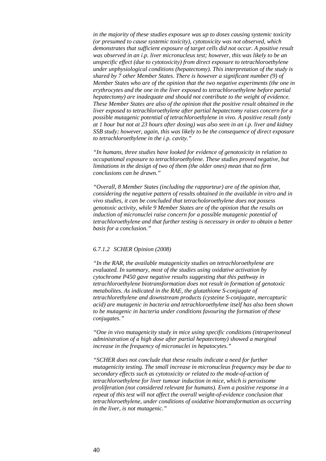*in the majority of these studies exposure was up to doses causing systemic toxicity (or presumed to cause systemic toxicity), cytotoxicity was not observed, which demonstrates that sufficient exposure of target cells did not occur. A positive result was observed in an i.p. liver micronucleus test; however, this was likely to be an unspecific effect (due to cytotoxicity) from direct exposure to tetrachloroethylene under unphysiological conditions (hepatectomy). This interpretation of the study is shared by 7 other Member States. There is however a significant number (9) of Member States who are of the opinion that the two negative experiments (the one in erythrocytes and the one in the liver exposed to tetrachloroethylene before partial hepatectomy) are inadequate and should not contribute to the weight of evidence. These Member States are also of the opinion that the positive result obtained in the liver exposed to tetrachloroethylene after partial hepatectomy raises concern for a possible mutagenic potential of tetrachloroethylene in vivo. A positive result (only at 1 hour but not at 23 hours after dosing) was also seen in an i.p. liver and kidney SSB study; however, again, this was likely to be the consequence of direct exposure to tetrachloroethylene in the i.p. cavity."*

*"In humans, three studies have looked for evidence of genotoxicity in relation to occupational exposure to tetrachloroethylene. These studies proved negative, but limitations in the design of two of them (the older ones) mean that no firm conclusions can be drawn."*

*"Overall, 8 Member States (including the rapporteur) are of the opinion that, considering the negative pattern of results obtained in the available in vitro and in vivo studies, it can be concluded that tetracholoroethylene does not possess genotoxic activity, while 9 Member States are of the opinion that the results on induction of micronuclei raise concern for a possible mutagenic potential of tetrachloroethylene and that further testing is necessary in order to obtain a better basis for a conclusion."*

## *6.7.1.2 SCHER Opinion (2008)*

*"In the RAR, the available mutagenicity studies on tetrachloroethylene are evaluated. In summary, most of the studies using oxidative activation by cytochrome P450 gave negative results suggesting that this pathway in tetrachloroethylene biotransformation does not result in formation of genotoxic metabolites. As indicated in the RAE, the glutathione S-conjugate of tetrachlorethylene and downstream products (cysteine S-conjugate, mercapturic acid) are mutagenic in bacteria and tetrachloroethylene itself has also been shown to be mutagenic in bacteria under conditions favouring the formation of these conjugates."*

*"One in vivo mutagenicity study in mice using specific conditions (intraperitoneal administration of a high dose after partial hepatectomy) showed a marginal increase in the frequency of micronuclei in hepatocytes."*

*"SCHER does not conclude that these results indicate a need for further mutagenicity testing. The small increase in micronucleus frequency may be due to secondary effects such as cytotoxicity or related to the mode-of-action of tetrachloroethylene for liver tumour induction in mice, which is peroxisome proliferation (not considered relevant for humans). Even a positive response in a repeat of this test will not affect the overall weight-of-evidence conclusion that tetrachloroethylene, under conditions of oxidative biotransformation as occurring in the liver, is not mutagenic."*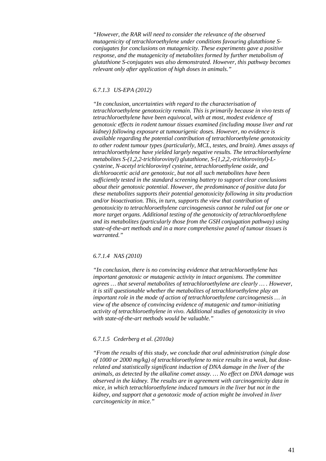*"However, the RAR will need to consider the relevance of the observed mutagenicity of tetrachloroethylene under conditions favouring glutathione Sconjugates for conclusions on mutagenicity. These experiments gave a positive response, and the mutagenicity of metabolites formed by further metabolism of glutathione S-conjugates was also demonstrated. However, this pathway becomes relevant only after application of high doses in animals."*

#### *6.7.1.3 US-EPA (2012)*

*"In conclusion, uncertainties with regard to the characterisation of tetrachloroethylene genotoxicity remain. This is primarily because in vivo tests of tetrachloroethylene have been equivocal, with at most, modest evidence of genotoxic effects in rodent tumour tissues examined (including mouse liver and rat kidney) following exposure at tumourigenic doses. However, no evidence is available regarding the potential contribution of tetrachloroethylene genotoxicity to other rodent tumour types (particularly, MCL, testes, and brain). Ames assays of tetrachloroethylene have yielded largely negative results. The tetrachloroethylene metabolites S-(1,2,2-trichlorovinyl) glutathione, S-(1,2,2,-trichlorovinyl)-Lcysteine, N-acetyl trichlorovinyl cysteine, tetrachloroethylene oxide, and dichloroacetic acid are genotoxic, but not all such metabolites have been sufficiently tested in the standard screening battery to support clear conclusions about their genotoxic potential. However, the predominance of positive data for these metabolites supports their potential genotoxicity following in situ production and/or bioactivation. This, in turn, supports the view that contribution of genotoxicity to tetrachloroethylene carcinogenesis cannot be ruled out for one or more target organs. Additional testing of the genotoxicity of tetrachloroethylene and its metabolites (particularly those from the GSH conjugation pathway) using state-of-the-art methods and in a more comprehensive panel of tumour tissues is warranted."*

#### *6.7.1.4 NAS (2010)*

*"In conclusion, there is no convincing evidence that tetrachloroethylene has important genotoxic or mutagenic activity in intact organisms. The committee agrees … that several metabolites of tetrachloroethylene are clearly … . However, it is still questionable whether the metabolites of tetrachloroethylene play an important role in the mode of action of tetrachloroethylene carcinogenesis … in view of the absence of convincing evidence of mutagenic and tumor-initiating activity of tetrachloroethylene in vivo. Additional studies of genotoxicity in vivo with state-of-the-art methods would be valuable."*

#### *6.7.1.5 Cederberg et al. (2010a)*

*"From the results of this study, we conclude that oral administration (single dose of 1000 or 2000 mg/kg) of tetrachloroethylene to mice results in a weak, but doserelated and statistically significant induction of DNA damage in the liver of the animals, as detected by the alkaline comet assay. … No effect on DNA damage was observed in the kidney. The results are in agreement with carcinogenicity data in mice, in which tetrachloroethylene induced tumours in the liver but not in the kidney, and support that a genotoxic mode of action might be involved in liver carcinogenicity in mice."*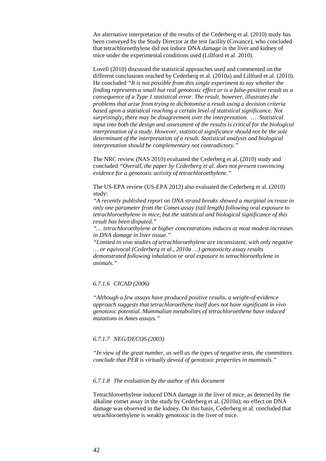An alternative interpretation of the results of the Cederberg et al. (2010) study has been conveyed by the Study Director at the test facility (Covance), who concluded that tetrachloroethylene did not induce DNA damage in the liver and kidney of mice under the experimental conditions used (Lillford et al. 2010).

Lovell (2010) discussed the statistical approaches used and commented on the different conclusions reached by Cederberg et al. (2010a) and Lillford et al. (2010). He concluded *"It is not possible from this single experiment to say whether the finding represents a small but real genotoxic effect or is a false-positive result as a consequence of a Type 1 statistical error. The result, however, illustrates the problems that arise from trying to dichotomise a result using a decision criteria based upon a statistical reaching a certain level of statistical significance. Not surprisingly, there may be disagreement over the interpretation. … Statistical input into both the design and assessment of the results is critical for the biological interpretation of a study. However, statistical significance should not be the sole determinant of the interpretation of a result. Statistical analysis and biological interpretation should be complementary not contradictory."*

The NRC review (NAS 2010) evaluated the Cederberg et al. (2010) study and concluded *"Overall, the paper by Cederberg et al. does not present convincing evidence for a genotoxic activity of tetrachloroethylene."*

The US-EPA review (US-EPA 2012) also evaluated the Cederberg et al. (2010) study:

*"A recently published report on DNA strand breaks showed a marginal increase in only one parameter from the Comet assay (tail length) following oral exposure to tetrachloroethylene in mice, but the statistical and biological significance of this result has been disputed."*

*"… tetrachloroethylene at higher concentrations induces at most modest increases in DNA damage in liver tissue."*

*"Limited in vivo studies of tetrachloroethylene are inconsistent, with only negative … or equivocal (Cederberg et al., 2010a …) genotoxicity assay results demonstrated following inhalation or oral exposure to tetrachloroethylene in animals."*

#### *6.7.1.6 CICAD (2006)*

*"Although a few assays have produced positive results, a weight-of-evidence approach suggests that tetrachloroethene itself does not have significant in vivo genotoxic potential. Mammalian metabolites of tetrachloroethene have induced mutations in Ames assays."*

#### *6.7.1.7 NEG/DECOS (2003)*

*"In view of the great number, as well as the types of negative tests, the committees conclude that PER is virtually devoid of genotoxic properties in mammals."*

#### *6.7.1.8 The evaluation by the author of this document*

Tetrachloroethylene induced DNA damage in the liver of mice, as detected by the alkaline comet assay in the study by Cederberg et al. (2010a); no effect on DNA damage was observed in the kidney. On this basis, Cederberg et al. concluded that tetrachloroethylene is weakly genotoxic in the liver of mice.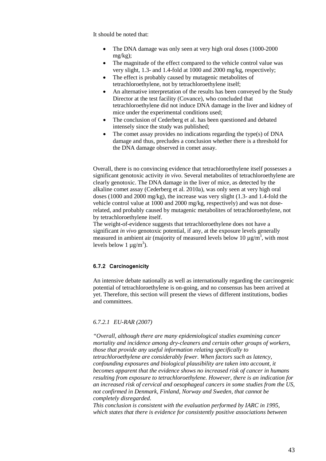It should be noted that:

- The DNA damage was only seen at very high oral doses (1000-2000) mg/kg);
- The magnitude of the effect compared to the vehicle control value was very slight, 1.3- and 1.4-fold at 1000 and 2000 mg/kg, respectively;
- The effect is probably caused by mutagenic metabolites of tetrachloroethylene, not by tetrachloroethylene itself;
- An alternative interpretation of the results has been conveyed by the Study Director at the test facility (Covance), who concluded that tetrachloroethylene did not induce DNA damage in the liver and kidney of mice under the experimental conditions used;
- The conclusion of Cederberg et al. has been questioned and debated intensely since the study was published;
- The comet assay provides no indications regarding the type(s) of DNA damage and thus, precludes a conclusion whether there is a threshold for the DNA damage observed in comet assay.

Overall, there is no convincing evidence that tetrachloroethylene itself possesses a significant genotoxic activity *in vivo*. Several metabolites of tetrachloroethylene are clearly genotoxic. The DNA damage in the liver of mice, as detected by the alkaline comet assay (Cederberg et al. 2010a), was only seen at very high oral doses (1000 and 2000 mg/kg), the increase was very slight (1.3- and 1.4-fold the vehicle control value at 1000 and 2000 mg/kg, respectively) and was not doserelated, and probably caused by mutagenic metabolites of tetrachloroethylene, not by tetrachloroethylene itself.

The weight-of-evidence suggests that tetrachloroethylene does not have a significant *in vivo* genotoxic potential, if any, at the exposure levels generally measured in ambient air (majority of measured levels below 10  $\mu$ g/m<sup>3</sup>, with most levels below 1  $\mu$ g/m<sup>3</sup>).

## <span id="page-42-0"></span>**6.7.2 Carcinogenicity**

An intensive debate nationally as well as internationally regarding the carcinogenic potential of tetrachloroethylene is on-going, and no consensus has been arrived at yet. Therefore, this section will present the views of different institutions, bodies and committees.

#### *6.7.2.1 EU-RAR (2007)*

*"Overall, although there are many epidemiological studies examining cancer mortality and incidence among dry-cleaners and certain other groups of workers, those that provide any useful information relating specifically to tetrachloroethylene are considerably fewer. When factors such as latency, confounding exposures and biological plausibility are taken into account, it becomes apparent that the evidence shows no increased risk of cancer in humans resulting from exposure to tetrachloroethylene. However, there is an indication for an increased risk of cervical and oesophageal cancers in some studies from the US, not confirmed in Denmark, Finland, Norway and Sweden, that cannot be completely disregarded.*

*This conclusion is consistent with the evaluation performed by IARC in 1995, which states that there is evidence for consistently positive associations between*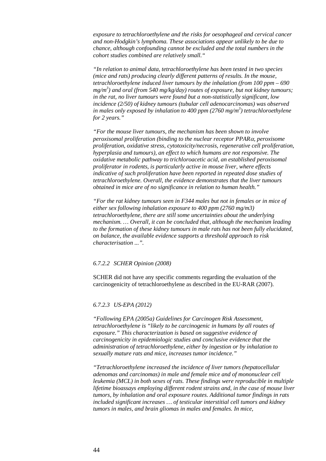*exposure to tetrachloroethylene and the risks for oesophageal and cervical cancer and non-Hodgkin's lymphoma. These associations appear unlikely to be due to chance, although confounding cannot be excluded and the total numbers in the cohort studies combined are relatively small."*

*"In relation to animal data, tetrachloroethylene has been tested in two species (mice and rats) producing clearly different patterns of results. In the mouse, tetrachloroethylene induced liver tumours by the inhalation (from 100 ppm – 690 mg/m3 ) and oral (from 540 mg/kg/day) routes of exposure, but not kidney tumours; in the rat, no liver tumours were found but a non-statistically significant, low incidence (2/50) of kidney tumours (tubular cell adenocarcinomas) was observed in males only exposed by inhalation to 400 ppm (2760 mg/m3 ) tetrachloroethylene for 2 years."*

*"For the mouse liver tumours, the mechanism has been shown to involve peroxisomal proliferation (binding to the nuclear receptor PPAR*α*, peroxisome proliferation, oxidative stress, cytotoxicity/necrosis, regenerative cell proliferation, hyperplasia and tumours), an effect to which humans are not responsive. The oxidative metabolic pathway to trichloroacetic acid, an established peroxisomal proliferator in rodents, is particularly active in mouse liver, where effects indicative of such proliferation have been reported in repeated dose studies of tetrachloroethylene. Overall, the evidence demonstrates that the liver tumours obtained in mice are of no significance in relation to human health."*

*"For the rat kidney tumours seen in F344 males but not in females or in mice of either sex following inhalation exposure to 400 ppm (2760 mg/m3) tetrachloroethylene, there are still some uncertainties about the underlying mechanism. … Overall, it can be concluded that, although the mechanism leading to the formation of these kidney tumours in male rats has not been fully elucidated, on balance, the available evidence supports a threshold approach to risk characterisation ...".*

#### *6.7.2.2 SCHER Opinion (2008)*

SCHER did not have any specific comments regarding the evaluation of the carcinogenicity of tetrachloroethylene as described in the EU-RAR (2007).

#### *6.7.2.3 US-EPA (2012)*

*"Following EPA (2005a) Guidelines for Carcinogen Risk Assessment, tetrachloroethylene is "likely to be carcinogenic in humans by all routes of exposure." This characterization is based on suggestive evidence of carcinogenicity in epidemiologic studies and conclusive evidence that the administration of tetrachloroethylene, either by ingestion or by inhalation to sexually mature rats and mice, increases tumor incidence."*

*"Tetrachloroethylene increased the incidence of liver tumors (hepatocellular adenomas and carcinomas) in male and female mice and of mononuclear cell leukemia (MCL) in both sexes of rats. These findings were reproducible in multiple lifetime bioassays employing different rodent strains and, in the case of mouse liver tumors, by inhalation and oral exposure routes. Additional tumor findings in rats included significant increases … of testicular interstitial cell tumors and kidney tumors in males, and brain gliomas in males and females. In mice,*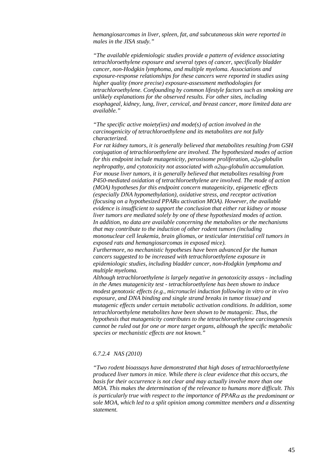*hemangiosarcomas in liver, spleen, fat, and subcutaneous skin were reported in males in the JISA study."*

*"The available epidemiologic studies provide a pattern of evidence associating tetrachloroethylene exposure and several types of cancer, specifically bladder cancer, non-Hodgkin lymphoma, and multiple myeloma. Associations and exposure-response relationships for these cancers were reported in studies using higher quality (more precise) exposure-assessment methodologies for tetrachloroethylene. Confounding by common lifestyle factors such as smoking are unlikely explanations for the observed results. For other sites, including esophageal, kidney, lung, liver, cervical, and breast cancer, more limited data are available."*

*"The specific active moiety(ies) and mode(s) of action involved in the carcinogenicity of tetrachloroethylene and its metabolites are not fully characterized.* 

*For rat kidney tumors, it is generally believed that metabolites resulting from GSH conjugation of tetrachloroethylene are involved. The hypothesized modes of action for this endpoint include mutagenicity, peroxisome proliferation, α2µ-globulin nephropathy, and cytotoxicity not associated with α2uµ-globulin accumulation. For mouse liver tumors, it is generally believed that metabolites resulting from P450-mediated oxidation of tetrachloroethylene are involved. The mode of action (MOA) hypotheses for this endpoint concern mutagenicity, epigenetic effects (especially DNA hypomethylation), oxidative stress, and receptor activation (focusing on a hypothesized PPARα activation MOA). However, the available evidence is insufficient to support the conclusion that either rat kidney or mouse liver tumors are mediated solely by one of these hypothesized modes of action. In addition, no data are available concerning the metabolites or the mechanisms that may contribute to the induction of other rodent tumors (including mononuclear cell leukemia, brain gliomas, or testicular interstitial cell tumors in exposed rats and hemangiosarcomas in exposed mice).* 

*Furthermore, no mechanistic hypotheses have been advanced for the human cancers suggested to be increased with tetrachloroethylene exposure in epidemiologic studies, including bladder cancer, non-Hodgkin lymphoma and multiple myeloma.* 

*Although tetrachloroethylene is largely negative in genotoxicity assays - including in the Ames mutagenicity test - tetrachloroethylene has been shown to induce modest genotoxic effects (e.g., micronuclei induction following in vitro or in vivo exposure, and DNA binding and single strand breaks in tumor tissue) and mutagenic effects under certain metabolic activation conditions. In addition, some tetrachloroethylene metabolites have been shown to be mutagenic. Thus, the hypothesis that mutagenicity contributes to the tetrachloroethylene carcinogenesis cannot be ruled out for one or more target organs, although the specific metabolic species or mechanistic effects are not known."*

#### *6.7.2.4 NAS (2010)*

*"Two rodent bioassays have demonstrated that high doses of tetrachloroethylene produced liver tumors in mice. While there is clear evidence that this occurs, the basis for their occurrence is not clear and may actually involve more than one MOA. This makes the determination of the relevance to humans more difficult. This is particularly true with respect to the importance of PPAR*<sup>α</sup> *as the predominant or sole MOA, which led to a split opinion among committee members and a dissenting statement.*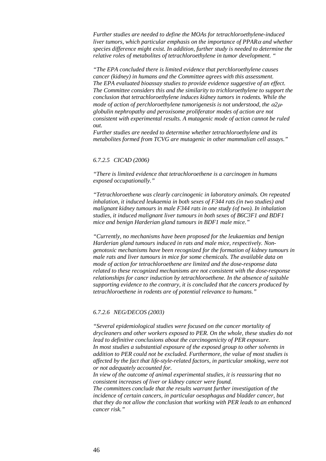*Further studies are needed to define the MOAs for tetrachloroethylene-induced liver tumors, which particular emphasis on the importance of PPAR*<sup>α</sup> *and whether species difference might exist. In addition, further study is needed to determine the relative roles of metabolites of tetrachloroethylene in tumor development. "*

*"The EPA concluded there is limited evidence that perchloroethylene causes cancer (kidney) in humans and the Committee agrees with this assessment. The EPA evaluated bioassay studies to provide evidence suggestive of an effect. The Committee considers this and the similarity to trichloroethylene to support the conclusion that tetrachloroethylene induces kidney tumors in rodents. While the mode of action of perchloroethylene tumorigenesis is not understood, the* α*2*µ*globulin nephropathy and peroxisome proliferator modes of action are not consistent with experimental results. A mutagenic mode of action cannot be ruled out.*

*Further studies are needed to determine whether tetrachloroethylene and its metabolites formed from TCVG are mutagenic in other mammalian cell assays."*

#### *6.7.2.5 CICAD (2006)*

*"There is limited evidence that tetrachloroethene is a carcinogen in humans exposed occupationally."*

*"Tetrachloroethene was clearly carcinogenic in laboratory animals. On repeated inhalation, it induced leukaemia in both sexes of F344 rats (in two studies) and malignant kidney tumours in male F344 rats in one study (of two). In inhalation studies, it induced malignant liver tumours in both sexes of B6C3F1 and BDF1 mice and benign Harderian gland tumours in BDF1 male mice."*

*"Currently, no mechanisms have been proposed for the leukaemias and benign Harderian gland tumours induced in rats and male mice, respectively. Nongenotoxic mechanisms have been recognized for the formation of kidney tumours in male rats and liver tumours in mice for some chemicals. The available data on mode of action for tetrachloroethene are limited and the dose-response data related to these recognized mechanisms are not consistent with the dose-response relationships for cancr induction by tetrachloroethene. In the absence of suitable supporting evidence to the contrary, it is concluded that the cancers produced by tetrachloroethene in rodents are of potential relevance to humans."*

#### *6.7.2.6 NEG/DECOS (2003)*

*"Several epidemiological studies were focused on the cancer mortality of drycleaners and other workers exposed to PER. On the whole, these studies do not lead to definitive conclusions about the carcinogenicity of PER exposure. In most studies a substantial exposure of the exposed group to other solvents in addition to PER could not be excluded. Furthermore, the value of most studies is affected by the fact that life-style-related factors, in particular smoking, were not or not adequately accounted for.*

*In view of the outcome of animal experimental studies, it is reassuring that no consistent increases of liver or kidney cancer were found. The committees conclude that the results warrant further investigation of the incidence of certain cancers, in particular oesophagus and bladder cancer, but* 

*that they do not allow the conclusion that working with PER leads to an enhanced cancer risk."*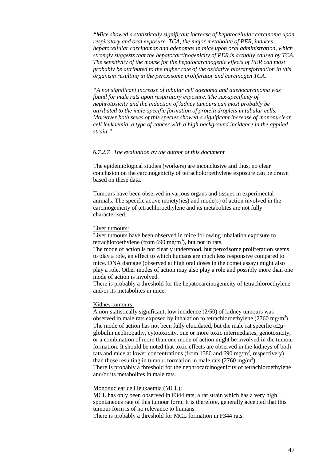*"Mice showed a statistically significant increase of hepatocellular carcinoma upon respiratory and oral exposure. TCA, the major metabolite of PER, induces hepatocellular carcinomas and adenomas in mice upon oral administration, which strongly suggests that the hepatocarcinogenicity of PER is actually caused by TCA. The sensitivity of the mouse for the hepatocarcinogenic effects of PER can most probably be attributed to the higher rate of the oxidative biotransformation in this organism resulting in the peroxisome proliferator and carcinogen TCA."*

*"A not significant increase of tubular cell adenoma and adenocarcinoma was found for male rats upon respiratory exposure. The sex-specificity of nephrotoxicity and the induction of kidney tumours can most probably be attributed to the male-specific formation of protein droplets in tubular cells. Moreover both sexes of this species showed a significant increase of mononuclear cell leukaemia, a type of cancer with a high background incidence in the applied strain."*

#### *6.7.2.7 The evaluation by the author of this document*

The epidemiological studies (workers) are inconclusive and thus, no clear conclusion on the carcinogenicity of tetracholoroethylene exposure can be drawn based on these data.

Tumours have been observed in various organs and tissues in experimental animals. The specific active moiety(ies) and mode(s) of action involved in the carcinogenicity of tetrachloroethylene and its metabolites are not fully characterised.

#### Liver tumours:

Liver tumours have been observed in mice following inhalation exposure to tetrachloroethylene (from 690 mg/m<sup>3</sup>), but not in rats.

The mode of action is not clearly understood, but peroxisome proliferation seems to play a role, an effect to which humans are much less responsive compared to mice. DNA damage (observed at high oral doses in the comet assay) might also play a role. Other modes of action may also play a role and possibly more than one mode of action is involved.

There is probably a threshold for the hepatocarcinogenicity of tetrachloroethylene and/or its metabolites in mice.

#### Kidney tumours:

A non-statistically significant, low incidence (2/50) of kidney tumours was observed in male rats exposed by inhalation to tetrachloroethylene  $(2760 \text{ mg/m}^3)$ . The mode of action has not been fully elucidated, but the male rat specific  $\alpha$ 2 $\mu$ globulin nephropathy, cytotoxicity, one or more toxic intermediates, genotoxicity, or a combination of more than one mode of action might be involved in the tumour formation. It should be noted that toxic effects are observed in the kidneys of both rats and mice at lower concentrations (from 1380 and 690 mg/m<sup>3</sup>, respectively) than those resulting in tumour formation in male rats  $(2760 \text{ mg/m}^3)$ . There is probably a threshold for the nephrocarcinogenicity of tetrachloroethylene and/or its metabolites in male rats.

## Mononuclear cell leukaemia (MCL):

MCL has only been observed in F344 rats, a rat strain which has a very high spontaneous rate of this tumour form. It is therefore, generally accepted that this tumour form is of no relevance to humans.

There is probably a threshold for MCL formation in F344 rats.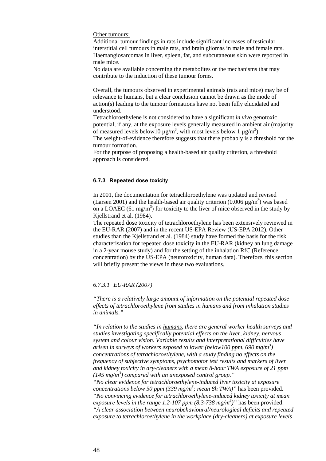Other tumours:

Additional tumour findings in rats include significant increases of testicular interstitial cell tumours in male rats, and brain gliomas in male and female rats. Haemangiosarcomas in liver, spleen, fat, and subcutaneous skin were reported in male mice.

No data are available concerning the metabolites or the mechanisms that may contribute to the induction of these tumour forms.

Overall, the tumours observed in experimental animals (rats and mice) may be of relevance to humans, but a clear conclusion cannot be drawn as the mode of action(s) leading to the tumour formations have not been fully elucidated and understood.

Tetrachloroethylene is not considered to have a significant *in vivo* genotoxic potential, if any, at the exposure levels generally measured in ambient air (majority of measured levels below 10  $\mu$ g/m<sup>3</sup>, with most levels below 1  $\mu$ g/m<sup>3</sup>).

The weight-of-evidence therefore suggests that there probably is a threshold for the tumour formation.

For the purpose of proposing a health-based air quality criterion, a threshold approach is considered.

#### <span id="page-47-0"></span>**6.7.3 Repeated dose toxicity**

In 2001, the documentation for tetrachloroethylene was updated and revised (Larsen 2001) and the health-based air quality criterion  $(0.006 \,\mu\text{g/m}^3)$  was based on a LOAEC (61 mg/m<sup>3</sup>) for toxicity to the liver of mice observed in the study by Kjellstrand et al. (1984).

The repeated dose toxicity of tetrachloroethylene has been extensively reviewed in the EU-RAR (2007) and in the recent US-EPA Review (US-EPA 2012). Other studies than the Kjellstrand et al. (1984) study have formed the basis for the risk characterisation for repeated dose toxicity in the EU-RAR (kidney an lung damage in a 2-year mouse study) and for the setting of the inhalation RfC (Reference concentration) by the US-EPA (neurotoxicity, human data). Therefore, this section will briefly present the views in these two evaluations.

#### *6.7.3.1 EU-RAR (2007)*

*"There is a relatively large amount of information on the potential repeated dose effects of tetrachloroethylene from studies in humans and from inhalation studies in animals."*

*"In relation to the studies in humans, there are general worker health surveys and studies investigating specifically potential effects on the liver, kidney, nervous system and colour vision. Variable results and interpretational difficulties have arisen in surveys of workers exposed to lower (below100 ppm, 690 mg/m3 ) concentrations of tetrachloroethylene, with a study finding no effects on the frequency of subjective symptoms, psychomotor test results and markers of liver and kidney toxicity in dry-cleaners with a mean 8-hour TWA exposure of 21 ppm (145 mg/m3 ) compared with an unexposed control group." "No clear evidence for tetrachloroethylene-induced liver toxicity at exposure concentrations below 50 ppm (339 mg/m3 ; mean 8h TWA)"* has been provided. *"No convincing evidence for tetrachloroethylene-induced kidney toxicity at mean exposure levels in the range 1.2-107 ppm (8.3-738 mg/m3 )"* has been provided. *"A clear association between neurobehavioural/neurological deficits and repeated exposure to tetrachloroethylene in the workplace (dry-cleaners) at exposure levels*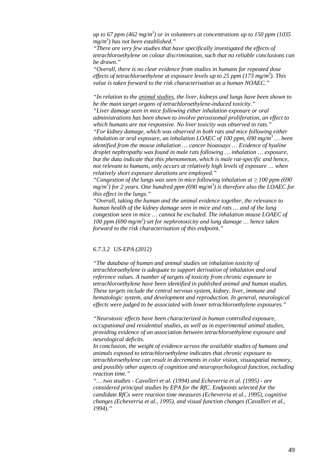*up to 67 ppm (462 mg/m3 ) or in volunteers at concentrations up to 150 ppm (1035 mg/m3 ) has not been established."*

*"There are very few studies that have specifically investigated the effects of tetrachloroethylene on colour discrimination, such that no reliable conclusions can be drawn."*

*"Overall, there is no clear evidence from studies in humans for repeated dose effects of tetrachloroethylene at exposure levels up to 25 ppm (173 mg/m3 ). This value is taken forward to the risk characterisation as a human NOAEC."*

*"In relation to the animal studies, the liver, kidneys and lungs have been shown to be the main target organs of tetrachloroethylene-induced toxicity." "Liver damage seen in mice following either inhalation exposure or oral administrations has been shown to involve peroxisomal proliferation, an effect to which humans are not responsive. No liver toxicity was observed in rats." "For kidney damage, which was observed in both rats and mice following either inhalation or oral exposure, an inhalation LOAEC of 100 ppm, 690 mg/m3 … been identified from the mouse inhalation … cancer bioassays … Evidence of hyaline droplet nephropathy was found in male rats following … inhalation … exposure, but the data indicate that this phenomenon, which is male rat-specific and hence, not relevant to humans, only occurs at relatively high levels of exposure … when relatively short exposure durations are employed."*

*"Congestion of the lungs was seen in mice following inhalation at ≥ 100 ppm (690 mg/m3 ) for 2 years. One hundred ppm (690 mg/m3 ) is therefore also the LOAEC for this effect in the lungs."*

*"Overall, taking the human and the animal evidence together, the relevance to human health of the kidney damage seen in mice and rats … and of the lung congestion seen in mice … cannot be excluded. The inhalation mouse LOAEC of 100 ppm (690 mg/m3 ) set for nephrotoxicity and lung damage … hence taken forward to the risk characterisation of this endpoint."*

## *6.7.3.2 US-EPA (2012)*

*"The database of human and animal studies on inhalation toxicity of tetrachloroethylene is adequate to support derivation of inhalation and oral reference values. A number of targets of toxicity from chronic exposure to tetrachloroethylene have been identified in published animal and human studies. These targets include the central nervous system, kidney, liver, immune and hematologic system, and development and reproduction. In general, neurological effects were judged to be associated with lower tetrachloroethylene exposures."*

*"Neurotoxic effects have been characterized in human controlled exposure, occupational and residential studies, as well as in experimental animal studies, providing evidence of an association between tetrachloroethylene exposure and neurological deficits.* 

*In conclusion, the weight of evidence across the available studies of humans and animals exposed to tetrachloroethylene indicates that chronic exposure to tetrachloroethylene can result in decrements in color vision, visuospatial memory, and possibly other aspects of cognition and neuropsychological function, including reaction time."*

*"… two studies - Cavalleri et al. (1994) and Echeverria et al. (1995) - are considered principal studies by EPA for the RfC. Endpoints selected for the candidate RfCs were reaction time measures (Echeverria et al., 1995), cognitive changes (Echeverria et al., 1995), and visual function changes (Cavalleri et al., 1994)."*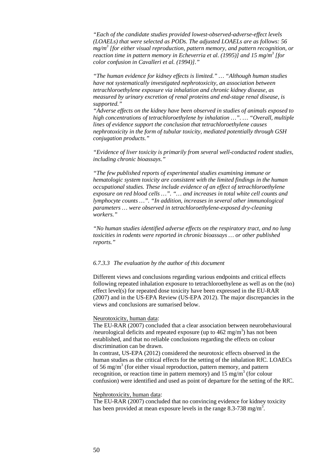*"Each of the candidate studies provided lowest-observed-adverse-effect levels (LOAELs) that were selected as PODs. The adjusted LOAELs are as follows: 56 mg/m3 [for either visual reproduction, pattern memory, and pattern recognition, or reaction time in pattern memory in Echeverria et al. (1995)] and 15 mg/m3 [for color confusion in Cavalleri et al. (1994)]."*

*"The human evidence for kidney effects is limited." … "Although human studies have not systematically investigated nephrotoxicity, an association between tetrachloroethylene exposure via inhalation and chronic kidney disease, as measured by urinary excretion of renal proteins and end-stage renal disease, is supported."*

*"Adverse effects on the kidney have been observed in studies of animals exposed to high concentrations of tetrachloroethylene by inhalation …". … "Overall, multiple lines of evidence support the conclusion that tetrachloroethylene causes nephrotoxicity in the form of tubular toxicity, mediated potentially through GSH conjugation products."*

*"Evidence of liver toxicity is primarily from several well-conducted rodent studies, including chronic bioassays."*

*"The few published reports of experimental studies examining immune or hematologic system toxicity are consistent with the limited findings in the human occupational studies. These include evidence of an effect of tetrachloroethylene exposure on red blood cells …". "… and increases in total white cell counts and lymphocyte counts …". "In addition, increases in several other immunological parameters … were observed in tetrachloroethylene-exposed dry-cleaning workers."*

*"No human studies identified adverse effects on the respiratory tract, and no lung toxicities in rodents were reported in chronic bioassays … or other published reports."*

#### *6.7.3.3 The evaluation by the author of this document*

Different views and conclusions regarding various endpoints and critical effects following repeated inhalation exposure to tetrachloroethylene as well as on the (no) effect level(s) for repeated dose toxicity have been expressed in the EU-RAR (2007) and in the US-EPA Review (US-EPA 2012). The major discrepancies in the views and conclusions are sumarised below.

#### Neurotoxicity, human data:

The EU-RAR (2007) concluded that a clear association between neurobehavioural /neurological deficits and repeated exposure (up to  $462 \text{ mg/m}^3$ ) has not been established, and that no reliable conclusions regarding the effects on colour discrimination can be drawn.

In contrast, US-EPA (2012) considered the neurotoxic effects observed in the human studies as the critical effects for the setting of the inhalation RfC. LOAECs of 56 mg/m<sup>3</sup> (for either visual reproduction, pattern memory, and pattern recognition, or reaction time in pattern memory) and  $15 \text{ mg/m}^3$  (for colour confusion) were identified and used as point of departure for the setting of the RfC.

#### Nephrotoxicity, human data:

The EU-RAR (2007) concluded that no convincing evidence for kidney toxicity has been provided at mean exposure levels in the range 8.3-738 mg/m<sup>3</sup>.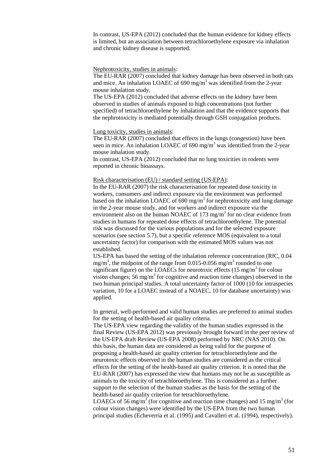In contrast, US-EPA (2012) concluded that the human evidence for kidney effects is limited, but an association between tetrachloroethylene exposure via inhalation and chronic kidney disease is supported.

#### Nephrotoxicity, studies in animals:

The EU-RAR (2007) concluded that kidney damage has been observed in both rats and mice. An inhalation LOAEC of  $690 \text{ mg/m}^3$  was identified from the 2-year mouse inhalation study.

The US-EPA (2012) concluded that adverse effects on the kidney have been observed in studies of animals exposed to high concentrations (not further specified) of tetrachloroethylene by inhalation and that the evidence supports that the nephrotoxicity is mediated potentially through GSH conjugation products.

#### Lung toxicity, studies in animals:

The EU-RAR (2007) concluded that effects in the lungs (congestion) have been seen in mice. An inhalation LOAEC of 690 mg/m<sup>3</sup> was identified from the 2-year mouse inhalation study.

In contrast, US-EPA (2012) concluded that no lung toxicities in rodents were reported in chronic bioassays.

#### Risk characterisation (EU) / standard setting (US-EPA):

In the EU-RAR (2007) the risk characterisation for repeated dose toxicity in workers, consumers and indirect exposure via the environment was performed based on the inhalation LOAEC of  $690 \text{ mg/m}^3$  for nephrotoxicity and lung damage in the 2-year mouse study, and for workers and indirect exposure via the environment also on the human NOAEC of 173 mg/m<sup>3</sup> for no clear evidence from studies in humans for repeated dose effects of tetrachloroethylene. The potential risk was discussed for the various populations and for the selected exposure scenarios (see section 5.7), but a specific reference MOS (equivalent to a total uncertainty factor) for comparison with the estimated MOS values was not established.

US-EPA has based the setting of the inhalation reference concentration (RfC, 0.04 mg/m<sup>3</sup>, the midpoint of the range from 0.015-0.056 mg/m<sup>3</sup> rounded to one significant figure) on the LOAECs for neurotoxic effects  $(15 \text{ mg/m}^3)$  for colour vision changes; 56 mg/m<sup>3</sup> for cognitive and reaction time changes) observed in the two human principal studies. A total uncertainty factor of 1000 (10 for intraspecies variation, 10 for a LOAEC instead of a NOAEC, 10 for database uncertainty) was applied.

In general, well-performed and valid human studies are preferred to animal studies for the setting of health-based air quality criteria.

The US-EPA view regarding the validity of the human studies expressed in the final Review (US-EPA 2012) was previously brought forward in the peer review of the US-EPA draft Review (US-EPA 2008) performed by NRC (NAS 2010). On this basis, the human data are considered as being valid for the purpose of proposing a health-based air quality criterion for tetrachloroethylene and the neurotoxic effects observed in the human studies are considered as the critical effects for the setting of the health-based air quality criterion. It is noted that the EU-RAR (2007) has expressed the view that humans may not be as susceptible as animals to the toxicity of tetrachloroethylene. This is considered as a further support to the selection of the human studies as the basis for the setting of the health-based air quality criterion for tetrachloroethylene.

LOAECs of 56 mg/m<sup>3</sup> (for cognitive and reaction time changes) and 15 mg/m<sup>3</sup> (for colour vision changes) were identified by the US-EPA from the two human principal studies (Echeverria et al. (1995) and Cavalleri et al. (1994), respectively).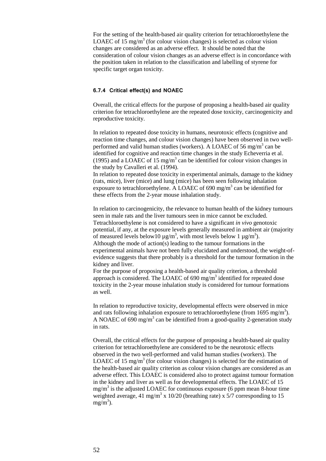For the setting of the health-based air quality criterion for tetrachloroethylene the LOAEC of 15 mg/m<sup>3</sup> (for colour vision changes) is selected as colour vision changes are considered as an adverse effect. It should be noted that the consideration of colour vision changes as an adverse effect is in concordance with the position taken in relation to the classification and labelling of styrene for specific target organ toxicity.

#### <span id="page-51-0"></span>**6.7.4 Critical effect(s) and NOAEC**

Overall, the critical effects for the purpose of proposing a health-based air quality criterion for tetrachloroethylene are the repeated dose toxicity, carcinogenicity and reproductive toxicity.

In relation to repeated dose toxicity in humans, neurotoxic effects (cognitive and reaction time changes, and colour vision changes) have been observed in two wellperformed and valid human studies (workers). A LOAEC of 56 mg/m<sup>3</sup> can be identified for cognitive and reaction time changes in the study Echeverria et al. (1995) and a LOAEC of 15 mg/m<sup>3</sup> can be identified for colour vision changes in the study by Cavalleri et al. (1994).

In relation to repeated dose toxicity in experimental animals, damage to the kidney (rats, mice), liver (mice) and lung (mice) has been seen following inhalation exposure to tetrachloroethylene. A LOAEC of 690 mg/m<sup>3</sup> can be identified for these effects from the 2-year mouse inhalation study.

In relation to carcinogenicity, the relevance to human health of the kidney tumours seen in male rats and the liver tumours seen in mice cannot be excluded. Tetrachloroethylene is not considered to have a significant *in vivo* genotoxic potential, if any, at the exposure levels generally measured in ambient air (majority of measured levels below 10  $\mu$  g/m<sup>3</sup>, with most levels below 1  $\mu$  g/m<sup>3</sup>). Although the mode of action(s) leading to the tumour formations in the experimental animals have not been fully elucidated and understood, the weight-ofevidence suggests that there probably is a threshold for the tumour formation in the kidney and liver.

For the purpose of proposing a health-based air quality criterion, a threshold approach is considered. The LOAEC of  $690 \text{ mg/m}^3$  identified for repeated dose toxicity in the 2-year mouse inhalation study is considered for tumour formations as well.

In relation to reproductive toxicity, developmental effects were observed in mice and rats following inhalation exposure to tetrachloroethylene (from 1695 mg/m<sup>3</sup>). A NOAEC of 690 mg/m<sup>3</sup> can be identified from a good-quality 2-generation study in rats.

Overall, the critical effects for the purpose of proposing a health-based air quality criterion for tetrachloroethylene are considered to be the neurotoxic effects observed in the two well-performed and valid human studies (workers). The LOAEC of 15 mg/m<sup>3</sup> (for colour vision changes) is selected for the estimation of the health-based air quality criterion as colour vision changes are considered as an adverse effect. This LOAEC is considered also to protect against tumour formation in the kidney and liver as well as for developmental effects. The LOAEC of 15  $mg/m<sup>3</sup>$  is the adjusted LOAEC for continuous exposure (6 ppm mean 8-hour time weighted average, 41 mg/m<sup>3</sup> x 10/20 (breathing rate) x 5/7 corresponding to 15  $mg/m<sup>3</sup>$ ).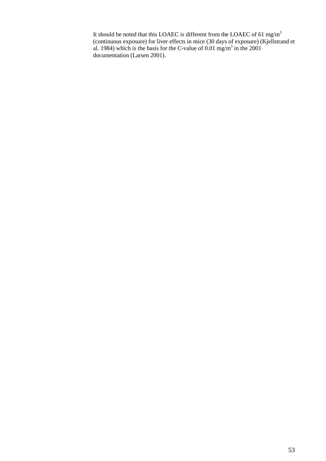It should be noted that this LOAEC is different from the LOAEC of 61 mg/m<sup>3</sup> (continuous exposure) for liver effects in mice (30 days of exposure) (Kjellstrand et al. 1984) which is the basis for the C-value of 0.01 mg/m<sup>3</sup> in the 2001 documentation (Larsen 2001).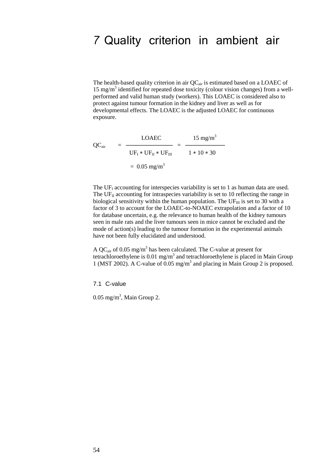## <span id="page-53-0"></span>7 Quality criterion in ambient air

The health-based quality criterion in air  $QC_{air}$  is estimated based on a LOAEC of  $15 \text{ mg/m}^3$  identified for repeated dose toxicity (colour vision changes) from a wellperformed and valid human study (workers). This LOAEC is considered also to protect against tumour formation in the kidney and liver as well as for developmental effects. The LOAEC is the adjusted LOAEC for continuous exposure.

$$
QC_{\text{air}} = \frac{\text{LOAEC}}{\text{UF}_{\text{I}} * \text{UF}_{\text{II}} * \text{UF}_{\text{III}}} = \frac{15 \text{ mg/m}^3}{1 * 10 * 30}
$$

$$
= 0.05 \text{ mg/m}^3
$$

The UF<sub>I</sub> accounting for interspecies variability is set to 1 as human data are used. The  $UF<sub>II</sub>$  accounting for intraspecies variability is set to 10 reflecting the range in biological sensitivity within the human population. The  $UF_{III}$  is set to 30 with a factor of 3 to account for the LOAEC-to-NOAEC extrapolation and a factor of 10 for database uncertain, e.g. the relevance to human health of the kidney tumours seen in male rats and the liver tumours seen in mice cannot be excluded and the mode of action(s) leading to the tumour formation in the experimental animals have not been fully elucidated and understood.

A QC<sub>air</sub> of 0.05 mg/m<sup>3</sup> has been calculated. The C-value at present for tetrachloroethylene is  $0.01 \text{ mg/m}^3$  and tetrachloroethylene is placed in Main Group 1 (MST 2002). A C-value of 0.05 mg/m3 and placing in Main Group 2 is proposed.

<span id="page-53-1"></span>7.1 C-value

 $0.05$  mg/m<sup>3</sup>, Main Group 2.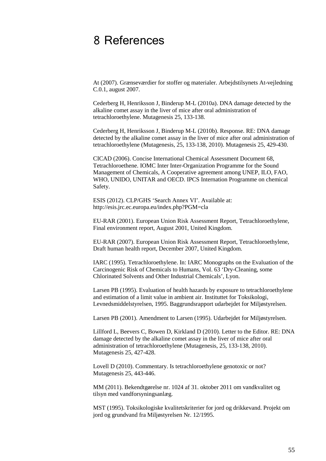## <span id="page-54-0"></span>8 References

At (2007). Grænseværdier for stoffer og materialer. Arbejdstilsynets At-vejledning C.0.1, august 2007.

Cederberg H, Henriksson J, Binderup M-L (2010a). DNA damage detected by the alkaline comet assay in the liver of mice after oral administration of tetrachloroethylene. Mutagenesis 25, 133-138.

Cederberg H, Henriksson J, Binderup M-L (2010b). Response. RE: DNA damage detected by the alkaline comet assay in the liver of mice after oral administration of tetrachloroethylene (Mutagenesis, 25, 133-138, 2010). Mutagenesis 25, 429-430.

CICAD (2006). Concise International Chemical Assessment Document 68, Tetrachloroethene. IOMC Inter Inter-Organization Programme for the Sound Management of Chemicals, A Cooperative agreement among UNEP, ILO, FAO, WHO, UNIDO, UNITAR and OECD. IPCS Internation Programme on chemical Safety.

ESIS (2012). CLP/GHS 'Search Annex VI'. Available at: http://esis.jrc.ec.europa.eu/index.php?PGM=cla

EU-RAR (2001). European Union Risk Assessment Report, Tetrachloroethylene, Final environment report, August 2001, United Kingdom.

EU-RAR (2007). European Union Risk Assessment Report, Tetrachloroethylene, Draft human health report, December 2007, United Kingdom.

IARC (1995). Tetrachloroethylene. In: IARC Monographs on the Evaluation of the Carcinogenic Risk of Chemicals to Humans, Vol. 63 'Dry-Cleaning, some Chlorinated Solvents and Other Industrial Chemicals', Lyon.

Larsen PB (1995). Evaluation of health hazards by exposure to tetrachloroethylene and estimation of a limit value in ambient air. Instituttet for Toksikologi, Levnedsmiddelstyrelsen, 1995. Baggrundsrapport udarbejdet for Miljøstyrelsen.

Larsen PB (2001). Amendment to Larsen (1995). Udarbejdet for Miljøstyrelsen.

Lillford L, Beevers C, Bowen D, Kirkland D (2010). Letter to the Editor. RE: DNA damage detected by the alkaline comet assay in the liver of mice after oral administration of tetrachloroethylene (Mutagenesis, 25, 133-138, 2010). Mutagenesis 25, 427-428.

Lovell D (2010). Commentary. Is tetrachloroethylene genotoxic or not? Mutagenesis 25, 443-446.

MM (2011). Bekendtgørelse nr. 1024 af 31. oktober 2011 om vandkvalitet og tilsyn med vandforsyningsanlæg.

MST (1995). Toksikologiske kvalitetskriterier for jord og drikkevand. Projekt om jord og grundvand fra Miljøstyrelsen Nr. 12/1995.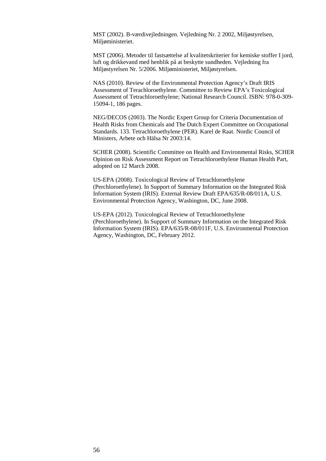MST (2002). B-værdivejledningen. Vejledning Nr. 2 2002, Miljøstyrelsen, Miljøministeriet.

MST (2006). Metoder til fastsættelse af kvalitetskriterier for kemiske stoffer I jord, luft og drikkevand med henblik på at beskytte sundheden. Vejledning fra Miljøstyrelsen Nr. 5/2006. Miljøministeriet, Miljøstyrelsen.

NAS (2010). Review of the Environmental Protection Agency's Draft IRIS Assessment of Terachloroethylene. Committee to Review EPA's Toxicological Assessment of Tetrachloroethylene; National Research Council. ISBN: 978-0-309- 15094-1, 186 pages.

NEG/DECOS (2003). The Nordic Expert Group for Criteria Documentation of Health Risks from Chemicals and The Dutch Expert Committee on Occupational Standards. 133. Tetrachloroethylene (PER). Karel de Raat. Nordic Council of Ministers, Arbete och Hälsa Nr 2003:14.

SCHER (2008). Scientific Committee on Health and Environmental Risks, SCHER Opinion on Risk Assessment Report on Tetrachloroethylene Human Health Part, adopted on 12 March 2008.

US-EPA (2008). Toxicological Review of Tetrachloroethylene (Perchloroethylene). In Support of Summary Information on the Integrated Risk Information System (IRIS). External Review Draft EPA/635/R-08/011A, U.S. Environmental Protection Agency, Washington, DC, June 2008.

US-EPA (2012). Toxicological Review of Tetrachloroethylene (Perchloroethylene). In Support of Summary Information on the Integrated Risk Information System (IRIS). EPA/635/R-08/011F, U.S. Environmental Protection Agency, Washington, DC, February 2012.